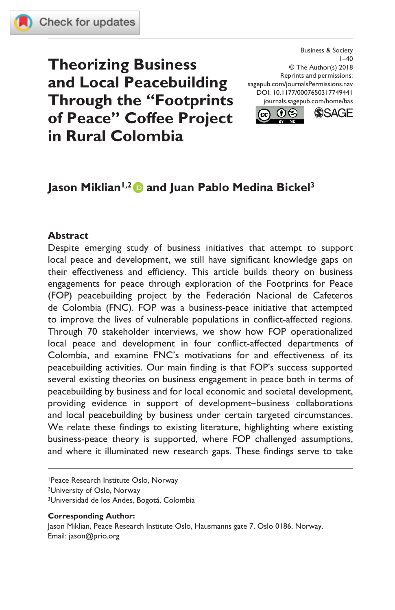**Theorizing Business and Local Peacebuilding Through the "Footprints of Peace" Coffee Project in Rural Colombia**

DOI: 10.1177/0007650317749441 Business & Society  $1 - 40$ © The Author(s) 2018 Reprints and permissions: [sagepub.com/journalsPermissions.nav](https://us.sagepub.com/en-us/journals-permissions) [journals.sagepub.com/home/bas](http://journals.sagepub.com/home/bas)



## Jason Miklian<sup>1,2</sup> and Juan Pablo Medina Bickel<sup>3</sup>

#### **Abstract**

Despite emerging study of business initiatives that attempt to support local peace and development, we still have significant knowledge gaps on their effectiveness and efficiency. This article builds theory on business engagements for peace through exploration of the Footprints for Peace (FOP) peacebuilding project by the Federación Nacional de Cafeteros de Colombia (FNC). FOP was a business-peace initiative that attempted to improve the lives of vulnerable populations in conflict-affected regions. Through 70 stakeholder interviews, we show how FOP operationalized local peace and development in four conflict-affected departments of Colombia, and examine FNC's motivations for and effectiveness of its peacebuilding activities. Our main finding is that FOP's success supported several existing theories on business engagement in peace both in terms of peacebuilding by business and for local economic and societal development, providing evidence in support of development–business collaborations and local peacebuilding by business under certain targeted circumstances. We relate these findings to existing literature, highlighting where existing business-peace theory is supported, where FOP challenged assumptions, and where it illuminated new research gaps. These findings serve to take

1Peace Research Institute Oslo, Norway 2University of Oslo, Norway <sup>3</sup>Universidad de los Andes, Bogotá, Colombia

#### **Corresponding Author:**

Jason Miklian, Peace Research Institute Oslo, Hausmanns gate 7, Oslo 0186, Norway. Email: [jason@prio.org](mailto:jason@prio.org)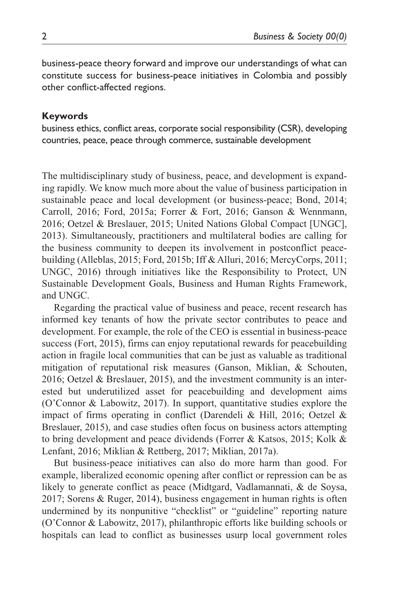business-peace theory forward and improve our understandings of what can constitute success for business-peace initiatives in Colombia and possibly other conflict-affected regions.

#### **Keywords**

business ethics, conflict areas, corporate social responsibility (CSR), developing countries, peace, peace through commerce, sustainable development

The multidisciplinary study of business, peace, and development is expanding rapidly. We know much more about the value of business participation in sustainable peace and local development (or business-peace; Bond, 2014; Carroll, 2016; Ford, 2015a; Forrer & Fort, 2016; Ganson & Wennmann, 2016; Oetzel & Breslauer, 2015; United Nations Global Compact [UNGC], 2013). Simultaneously, practitioners and multilateral bodies are calling for the business community to deepen its involvement in postconflict peacebuilding (Alleblas, 2015; Ford, 2015b; Iff & Alluri, 2016; MercyCorps, 2011; UNGC, 2016) through initiatives like the Responsibility to Protect, UN Sustainable Development Goals, Business and Human Rights Framework, and UNGC.

Regarding the practical value of business and peace, recent research has informed key tenants of how the private sector contributes to peace and development. For example, the role of the CEO is essential in business-peace success (Fort, 2015), firms can enjoy reputational rewards for peacebuilding action in fragile local communities that can be just as valuable as traditional mitigation of reputational risk measures (Ganson, Miklian, & Schouten, 2016; Oetzel & Breslauer, 2015), and the investment community is an interested but underutilized asset for peacebuilding and development aims (O'Connor & Labowitz, 2017). In support, quantitative studies explore the impact of firms operating in conflict (Darendeli & Hill, 2016; Oetzel & Breslauer, 2015), and case studies often focus on business actors attempting to bring development and peace dividends (Forrer & Katsos, 2015; Kolk & Lenfant, 2016; Miklian & Rettberg, 2017; Miklian, 2017a).

But business-peace initiatives can also do more harm than good. For example, liberalized economic opening after conflict or repression can be as likely to generate conflict as peace (Midtgard, Vadlamannati, & de Soysa, 2017; Sorens & Ruger, 2014), business engagement in human rights is often undermined by its nonpunitive "checklist" or "guideline" reporting nature (O'Connor & Labowitz, 2017), philanthropic efforts like building schools or hospitals can lead to conflict as businesses usurp local government roles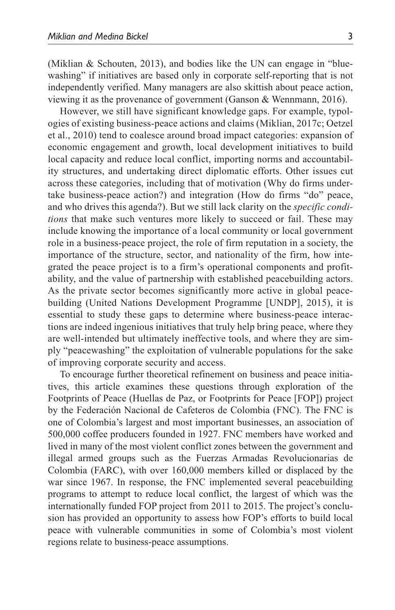(Miklian & Schouten, 2013), and bodies like the UN can engage in "bluewashing" if initiatives are based only in corporate self-reporting that is not independently verified. Many managers are also skittish about peace action, viewing it as the provenance of government (Ganson & Wennmann, 2016).

However, we still have significant knowledge gaps. For example, typologies of existing business-peace actions and claims (Miklian, 2017c; Oetzel et al., 2010) tend to coalesce around broad impact categories: expansion of economic engagement and growth, local development initiatives to build local capacity and reduce local conflict, importing norms and accountability structures, and undertaking direct diplomatic efforts. Other issues cut across these categories, including that of motivation (Why do firms undertake business-peace action?) and integration (How do firms "do" peace, and who drives this agenda?). But we still lack clarity on the *specific conditions* that make such ventures more likely to succeed or fail. These may include knowing the importance of a local community or local government role in a business-peace project, the role of firm reputation in a society, the importance of the structure, sector, and nationality of the firm, how integrated the peace project is to a firm's operational components and profitability, and the value of partnership with established peacebuilding actors. As the private sector becomes significantly more active in global peacebuilding (United Nations Development Programme [UNDP], 2015), it is essential to study these gaps to determine where business-peace interactions are indeed ingenious initiatives that truly help bring peace, where they are well-intended but ultimately ineffective tools, and where they are simply "peacewashing" the exploitation of vulnerable populations for the sake of improving corporate security and access.

To encourage further theoretical refinement on business and peace initiatives, this article examines these questions through exploration of the Footprints of Peace (Huellas de Paz, or Footprints for Peace [FOP]) project by the Federación Nacional de Cafeteros de Colombia (FNC). The FNC is one of Colombia's largest and most important businesses, an association of 500,000 coffee producers founded in 1927. FNC members have worked and lived in many of the most violent conflict zones between the government and illegal armed groups such as the Fuerzas Armadas Revolucionarias de Colombia (FARC), with over 160,000 members killed or displaced by the war since 1967. In response, the FNC implemented several peacebuilding programs to attempt to reduce local conflict, the largest of which was the internationally funded FOP project from 2011 to 2015. The project's conclusion has provided an opportunity to assess how FOP's efforts to build local peace with vulnerable communities in some of Colombia's most violent regions relate to business-peace assumptions.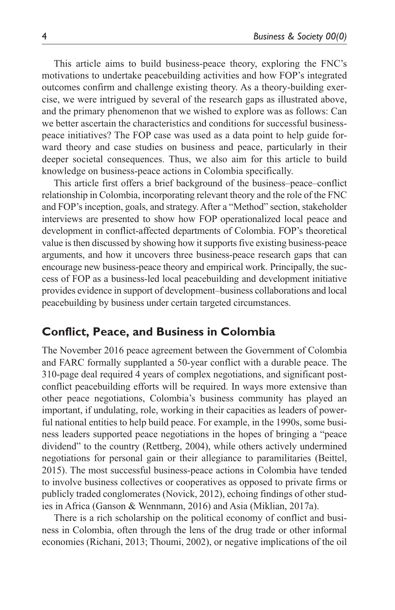This article aims to build business-peace theory, exploring the FNC's motivations to undertake peacebuilding activities and how FOP's integrated outcomes confirm and challenge existing theory. As a theory-building exercise, we were intrigued by several of the research gaps as illustrated above, and the primary phenomenon that we wished to explore was as follows: Can we better ascertain the characteristics and conditions for successful businesspeace initiatives? The FOP case was used as a data point to help guide forward theory and case studies on business and peace, particularly in their deeper societal consequences. Thus, we also aim for this article to build knowledge on business-peace actions in Colombia specifically.

This article first offers a brief background of the business–peace–conflict relationship in Colombia, incorporating relevant theory and the role of the FNC and FOP's inception, goals, and strategy. After a "Method" section, stakeholder interviews are presented to show how FOP operationalized local peace and development in conflict-affected departments of Colombia. FOP's theoretical value is then discussed by showing how it supports five existing business-peace arguments, and how it uncovers three business-peace research gaps that can encourage new business-peace theory and empirical work. Principally, the success of FOP as a business-led local peacebuilding and development initiative provides evidence in support of development–business collaborations and local peacebuilding by business under certain targeted circumstances.

#### **Conflict, Peace, and Business in Colombia**

The November 2016 peace agreement between the Government of Colombia and FARC formally supplanted a 50-year conflict with a durable peace. The 310-page deal required 4 years of complex negotiations, and significant postconflict peacebuilding efforts will be required. In ways more extensive than other peace negotiations, Colombia's business community has played an important, if undulating, role, working in their capacities as leaders of powerful national entities to help build peace. For example, in the 1990s, some business leaders supported peace negotiations in the hopes of bringing a "peace dividend" to the country (Rettberg, 2004), while others actively undermined negotiations for personal gain or their allegiance to paramilitaries (Beittel, 2015). The most successful business-peace actions in Colombia have tended to involve business collectives or cooperatives as opposed to private firms or publicly traded conglomerates (Novick, 2012), echoing findings of other studies in Africa (Ganson & Wennmann, 2016) and Asia (Miklian, 2017a).

There is a rich scholarship on the political economy of conflict and business in Colombia, often through the lens of the drug trade or other informal economies (Richani, 2013; Thoumi, 2002), or negative implications of the oil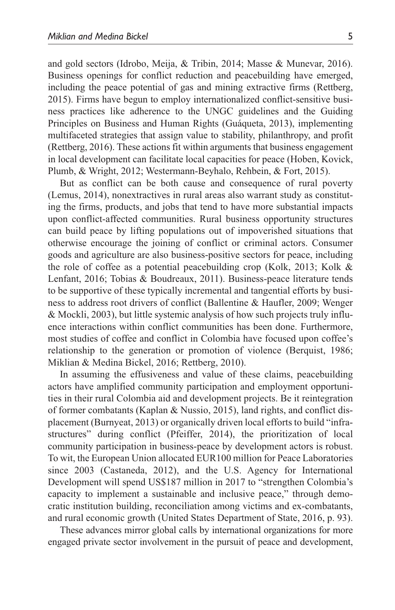and gold sectors (Idrobo, Meija, & Tribin, 2014; Masse & Munevar, 2016). Business openings for conflict reduction and peacebuilding have emerged, including the peace potential of gas and mining extractive firms (Rettberg, 2015). Firms have begun to employ internationalized conflict-sensitive business practices like adherence to the UNGC guidelines and the Guiding Principles on Business and Human Rights (Guáqueta, 2013), implementing multifaceted strategies that assign value to stability, philanthropy, and profit (Rettberg, 2016). These actions fit within arguments that business engagement in local development can facilitate local capacities for peace (Hoben, Kovick, Plumb, & Wright, 2012; Westermann-Beyhalo, Rehbein, & Fort, 2015).

But as conflict can be both cause and consequence of rural poverty (Lemus, 2014), nonextractives in rural areas also warrant study as constituting the firms, products, and jobs that tend to have more substantial impacts upon conflict-affected communities. Rural business opportunity structures can build peace by lifting populations out of impoverished situations that otherwise encourage the joining of conflict or criminal actors. Consumer goods and agriculture are also business-positive sectors for peace, including the role of coffee as a potential peacebuilding crop (Kolk, 2013; Kolk & Lenfant, 2016; Tobias & Boudreaux, 2011). Business-peace literature tends to be supportive of these typically incremental and tangential efforts by business to address root drivers of conflict (Ballentine & Haufler, 2009; Wenger & Mockli, 2003), but little systemic analysis of how such projects truly influence interactions within conflict communities has been done. Furthermore, most studies of coffee and conflict in Colombia have focused upon coffee's relationship to the generation or promotion of violence (Berquist, 1986; Miklian & Medina Bickel, 2016; Rettberg, 2010).

In assuming the effusiveness and value of these claims, peacebuilding actors have amplified community participation and employment opportunities in their rural Colombia aid and development projects. Be it reintegration of former combatants (Kaplan & Nussio, 2015), land rights, and conflict displacement (Burnyeat, 2013) or organically driven local efforts to build "infrastructures" during conflict (Pfeiffer, 2014), the prioritization of local community participation in business-peace by development actors is robust. To wit, the European Union allocated EUR100 million for Peace Laboratories since 2003 (Castaneda, 2012), and the U.S. Agency for International Development will spend US\$187 million in 2017 to "strengthen Colombia's capacity to implement a sustainable and inclusive peace," through democratic institution building, reconciliation among victims and ex-combatants, and rural economic growth (United States Department of State, 2016, p. 93).

These advances mirror global calls by international organizations for more engaged private sector involvement in the pursuit of peace and development,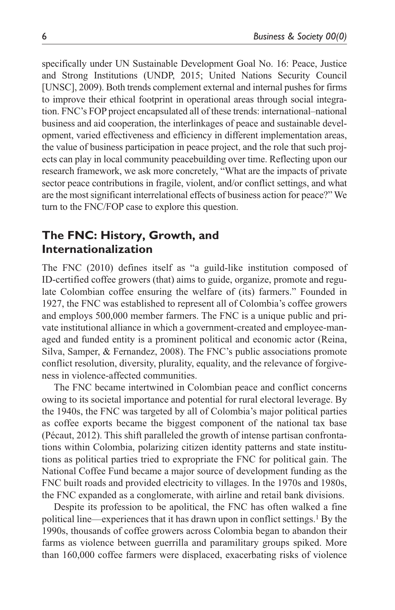specifically under UN Sustainable Development Goal No. 16: Peace, Justice and Strong Institutions (UNDP, 2015; United Nations Security Council [UNSC], 2009). Both trends complement external and internal pushes for firms to improve their ethical footprint in operational areas through social integration. FNC's FOP project encapsulated all of these trends: international–national business and aid cooperation, the interlinkages of peace and sustainable development, varied effectiveness and efficiency in different implementation areas, the value of business participation in peace project, and the role that such projects can play in local community peacebuilding over time. Reflecting upon our research framework, we ask more concretely, "What are the impacts of private sector peace contributions in fragile, violent, and/or conflict settings, and what are the most significant interrelational effects of business action for peace?" We turn to the FNC/FOP case to explore this question.

## **The FNC: History, Growth, and Internationalization**

The FNC (2010) defines itself as "a guild-like institution composed of ID-certified coffee growers (that) aims to guide, organize, promote and regulate Colombian coffee ensuring the welfare of (its) farmers." Founded in 1927, the FNC was established to represent all of Colombia's coffee growers and employs 500,000 member farmers. The FNC is a unique public and private institutional alliance in which a government-created and employee-managed and funded entity is a prominent political and economic actor (Reina, Silva, Samper, & Fernandez, 2008). The FNC's public associations promote conflict resolution, diversity, plurality, equality, and the relevance of forgiveness in violence-affected communities.

The FNC became intertwined in Colombian peace and conflict concerns owing to its societal importance and potential for rural electoral leverage. By the 1940s, the FNC was targeted by all of Colombia's major political parties as coffee exports became the biggest component of the national tax base (Pécaut, 2012). This shift paralleled the growth of intense partisan confrontations within Colombia, polarizing citizen identity patterns and state institutions as political parties tried to expropriate the FNC for political gain. The National Coffee Fund became a major source of development funding as the FNC built roads and provided electricity to villages. In the 1970s and 1980s, the FNC expanded as a conglomerate, with airline and retail bank divisions.

Despite its profession to be apolitical, the FNC has often walked a fine political line—experiences that it has drawn upon in conflict settings.1 By the 1990s, thousands of coffee growers across Colombia began to abandon their farms as violence between guerrilla and paramilitary groups spiked. More than 160,000 coffee farmers were displaced, exacerbating risks of violence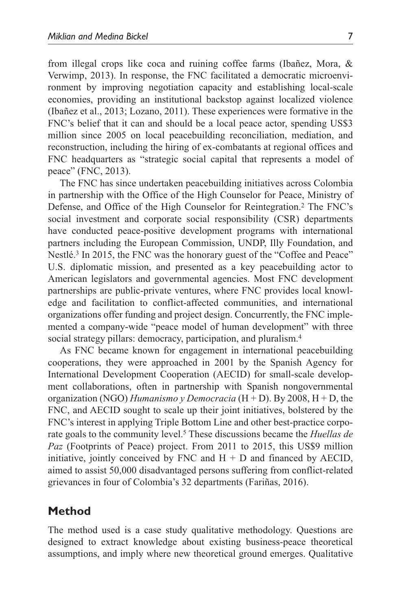from illegal crops like coca and ruining coffee farms (Ibañez, Mora, & Verwimp, 2013). In response, the FNC facilitated a democratic microenvironment by improving negotiation capacity and establishing local-scale economies, providing an institutional backstop against localized violence (Ibañez et al., 2013; Lozano, 2011). These experiences were formative in the FNC's belief that it can and should be a local peace actor, spending US\$3 million since 2005 on local peacebuilding reconciliation, mediation, and reconstruction, including the hiring of ex-combatants at regional offices and FNC headquarters as "strategic social capital that represents a model of peace" (FNC, 2013).

The FNC has since undertaken peacebuilding initiatives across Colombia in partnership with the Office of the High Counselor for Peace, Ministry of Defense, and Office of the High Counselor for Reintegration.2 The FNC's social investment and corporate social responsibility (CSR) departments have conducted peace-positive development programs with international partners including the European Commission, UNDP, Illy Foundation, and Nestlé.3 In 2015, the FNC was the honorary guest of the "Coffee and Peace" U.S. diplomatic mission, and presented as a key peacebuilding actor to American legislators and governmental agencies. Most FNC development partnerships are public-private ventures, where FNC provides local knowledge and facilitation to conflict-affected communities, and international organizations offer funding and project design. Concurrently, the FNC implemented a company-wide "peace model of human development" with three social strategy pillars: democracy, participation, and pluralism.4

As FNC became known for engagement in international peacebuilding cooperations, they were approached in 2001 by the Spanish Agency for International Development Cooperation (AECID) for small-scale development collaborations, often in partnership with Spanish nongovernmental organization (NGO) *Humanismo y Democracia* (H + D). By 2008, H + D, the FNC, and AECID sought to scale up their joint initiatives, bolstered by the FNC's interest in applying Triple Bottom Line and other best-practice corporate goals to the community level.5 These discussions became the *Huellas de Paz* (Footprints of Peace) project. From 2011 to 2015, this US\$9 million initiative, jointly conceived by FNC and  $H + D$  and financed by AECID, aimed to assist 50,000 disadvantaged persons suffering from conflict-related grievances in four of Colombia's 32 departments (Fariñas, 2016).

#### **Method**

The method used is a case study qualitative methodology. Questions are designed to extract knowledge about existing business-peace theoretical assumptions, and imply where new theoretical ground emerges. Qualitative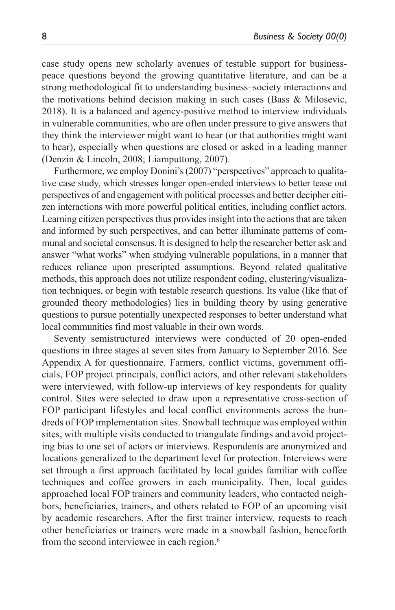case study opens new scholarly avenues of testable support for businesspeace questions beyond the growing quantitative literature, and can be a strong methodological fit to understanding business–society interactions and the motivations behind decision making in such cases (Bass & Milosevic, 2018). It is a balanced and agency-positive method to interview individuals in vulnerable communities, who are often under pressure to give answers that they think the interviewer might want to hear (or that authorities might want to hear), especially when questions are closed or asked in a leading manner (Denzin & Lincoln, 2008; Liamputtong, 2007).

Furthermore, we employ Donini's (2007) "perspectives" approach to qualitative case study, which stresses longer open-ended interviews to better tease out perspectives of and engagement with political processes and better decipher citizen interactions with more powerful political entities, including conflict actors. Learning citizen perspectives thus provides insight into the actions that are taken and informed by such perspectives, and can better illuminate patterns of communal and societal consensus. It is designed to help the researcher better ask and answer "what works" when studying vulnerable populations, in a manner that reduces reliance upon prescripted assumptions. Beyond related qualitative methods, this approach does not utilize respondent coding, clustering/visualization techniques, or begin with testable research questions. Its value (like that of grounded theory methodologies) lies in building theory by using generative questions to pursue potentially unexpected responses to better understand what local communities find most valuable in their own words.

Seventy semistructured interviews were conducted of 20 open-ended questions in three stages at seven sites from January to September 2016. See Appendix A for questionnaire. Farmers, conflict victims, government officials, FOP project principals, conflict actors, and other relevant stakeholders were interviewed, with follow-up interviews of key respondents for quality control. Sites were selected to draw upon a representative cross-section of FOP participant lifestyles and local conflict environments across the hundreds of FOP implementation sites. Snowball technique was employed within sites, with multiple visits conducted to triangulate findings and avoid projecting bias to one set of actors or interviews. Respondents are anonymized and locations generalized to the department level for protection. Interviews were set through a first approach facilitated by local guides familiar with coffee techniques and coffee growers in each municipality. Then, local guides approached local FOP trainers and community leaders, who contacted neighbors, beneficiaries, trainers, and others related to FOP of an upcoming visit by academic researchers. After the first trainer interview, requests to reach other beneficiaries or trainers were made in a snowball fashion, henceforth from the second interviewee in each region.6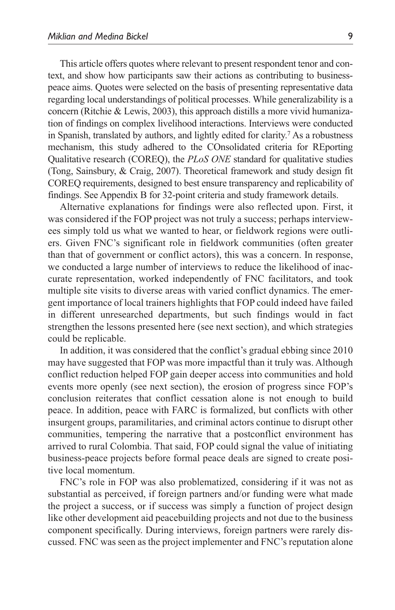This article offers quotes where relevant to present respondent tenor and context, and show how participants saw their actions as contributing to businesspeace aims. Quotes were selected on the basis of presenting representative data regarding local understandings of political processes. While generalizability is a concern (Ritchie & Lewis, 2003), this approach distills a more vivid humanization of findings on complex livelihood interactions. Interviews were conducted in Spanish, translated by authors, and lightly edited for clarity.7 As a robustness mechanism, this study adhered to the COnsolidated criteria for REporting Qualitative research (COREQ), the *PLoS ONE* standard for qualitative studies (Tong, Sainsbury, & Craig, 2007). Theoretical framework and study design fit COREQ requirements, designed to best ensure transparency and replicability of findings. See Appendix B for 32-point criteria and study framework details.

Alternative explanations for findings were also reflected upon. First, it was considered if the FOP project was not truly a success; perhaps interviewees simply told us what we wanted to hear, or fieldwork regions were outliers. Given FNC's significant role in fieldwork communities (often greater than that of government or conflict actors), this was a concern. In response, we conducted a large number of interviews to reduce the likelihood of inaccurate representation, worked independently of FNC facilitators, and took multiple site visits to diverse areas with varied conflict dynamics. The emergent importance of local trainers highlights that FOP could indeed have failed in different unresearched departments, but such findings would in fact strengthen the lessons presented here (see next section), and which strategies could be replicable.

In addition, it was considered that the conflict's gradual ebbing since 2010 may have suggested that FOP was more impactful than it truly was. Although conflict reduction helped FOP gain deeper access into communities and hold events more openly (see next section), the erosion of progress since FOP's conclusion reiterates that conflict cessation alone is not enough to build peace. In addition, peace with FARC is formalized, but conflicts with other insurgent groups, paramilitaries, and criminal actors continue to disrupt other communities, tempering the narrative that a postconflict environment has arrived to rural Colombia. That said, FOP could signal the value of initiating business-peace projects before formal peace deals are signed to create positive local momentum.

FNC's role in FOP was also problematized, considering if it was not as substantial as perceived, if foreign partners and/or funding were what made the project a success, or if success was simply a function of project design like other development aid peacebuilding projects and not due to the business component specifically. During interviews, foreign partners were rarely discussed. FNC was seen as the project implementer and FNC's reputation alone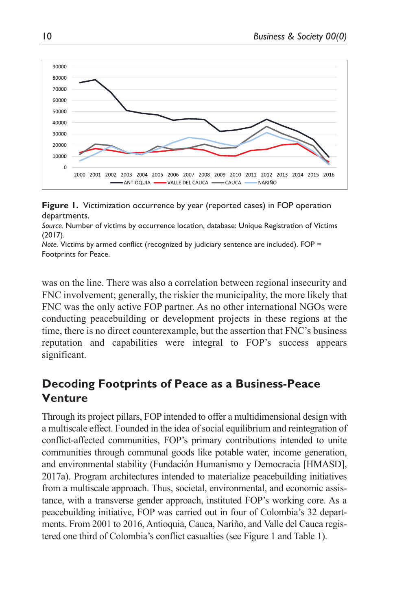

**Figure 1.** Victimization occurrence by year (reported cases) in FOP operation departments.

*Source.* Number of victims by occurrence location, database: Unique Registration of Victims (2017).

*Note.* Victims by armed conflict (recognized by judiciary sentence are included). FOP = Footprints for Peace.

was on the line. There was also a correlation between regional insecurity and FNC involvement; generally, the riskier the municipality, the more likely that FNC was the only active FOP partner. As no other international NGOs were conducting peacebuilding or development projects in these regions at the time, there is no direct counterexample, but the assertion that FNC's business reputation and capabilities were integral to FOP's success appears significant.

# **Decoding Footprints of Peace as a Business-Peace Venture**

Through its project pillars, FOP intended to offer a multidimensional design with a multiscale effect. Founded in the idea of social equilibrium and reintegration of conflict-affected communities, FOP's primary contributions intended to unite communities through communal goods like potable water, income generation, and environmental stability (Fundación Humanismo y Democracia [HMASD], 2017a). Program architectures intended to materialize peacebuilding initiatives from a multiscale approach. Thus, societal, environmental, and economic assistance, with a transverse gender approach, instituted FOP's working core. As a peacebuilding initiative, FOP was carried out in four of Colombia's 32 departments. From 2001 to 2016, Antioquia, Cauca, Nariño, and Valle del Cauca registered one third of Colombia's conflict casualties (see Figure 1 and Table 1).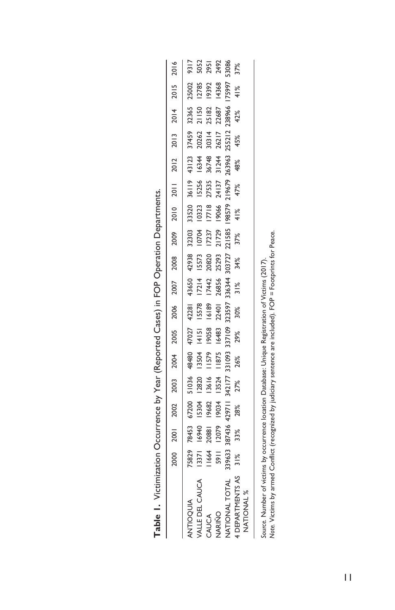|                                    | 2000        | 2001                   | 2002  | 2003                                                                                                                                                                                                                                                                                                                            | 2004               | 2005   | 2006                                   | 2007             | 2008  | 2009                    | 2010           | $\frac{1}{20}$                                           | 2012                                     | 2013           | 2014   | 2015           | 2016                          |
|------------------------------------|-------------|------------------------|-------|---------------------------------------------------------------------------------------------------------------------------------------------------------------------------------------------------------------------------------------------------------------------------------------------------------------------------------|--------------------|--------|----------------------------------------|------------------|-------|-------------------------|----------------|----------------------------------------------------------|------------------------------------------|----------------|--------|----------------|-------------------------------|
| ANTIOQUIA                          | 75829       | 78453                  | 67200 | 51036                                                                                                                                                                                                                                                                                                                           | 48480              |        |                                        |                  | 42938 | 32303                   |                |                                                          | $43123$ .                                | 37459          | 32365  | 25002          |                               |
|                                    | 13371       | 16940                  | 15304 | 12820                                                                                                                                                                                                                                                                                                                           | 13504              |        | 47027 42281 43650<br> 415  15578 17214 |                  | 15573 |                         | 33520<br>10323 | 36119<br>15256                                           |                                          | 20262          | 21150  | 12785          |                               |
| VALLE DEL CAUCA<br>CAUCA<br>NARIÑO | 11664       | 20881                  | 19682 | 13616<br>13524                                                                                                                                                                                                                                                                                                                  |                    | 19058  | 16189                                  | 17442            | 20820 | 10704<br>17237<br>21729 |                |                                                          | 16344<br>36748<br>31244<br>263963<br>48% |                | 25182  |                | 9317<br>5052<br>2492<br>53086 |
|                                    | <b>S911</b> |                        | 19034 |                                                                                                                                                                                                                                                                                                                                 | $11579$<br>$11875$ | 16483  | 22401<br>323597<br>30%                 | 26856            | 25293 |                         |                | 17718 27535<br>19066 24137<br>198579 219679 3<br>41% 47% |                                          | 30314<br>26217 | 22687  | 19392<br>14368 |                               |
| NATIONAL TOTAL                     | 339633      | 12079<br>387436<br>33% |       | 429711 342177 331093                                                                                                                                                                                                                                                                                                            |                    | 337109 |                                        | $-3363443037272$ |       |                         |                |                                                          |                                          | 255212         | 238966 | 175997         |                               |
| 4 DEPARTMENTS AS<br>NATIONAL %     | $31\%$      |                        |       |                                                                                                                                                                                                                                                                                                                                 |                    |        |                                        |                  |       | $721585$<br>$37\%$      |                |                                                          |                                          | 45%            | 42%    | 41%            | 37%                           |
| $\ddot{\phantom{a}}$               |             |                        |       | $\begin{bmatrix} 1 & 0 & 0 \\ 0 & 0 & 0 \\ 0 & 0 & 0 \\ 0 & 0 & 0 \\ 0 & 0 & 0 \\ 0 & 0 & 0 \\ 0 & 0 & 0 \\ 0 & 0 & 0 \\ 0 & 0 & 0 \\ 0 & 0 & 0 & 0 \\ 0 & 0 & 0 & 0 \\ 0 & 0 & 0 & 0 \\ 0 & 0 & 0 & 0 & 0 \\ 0 & 0 & 0 & 0 & 0 \\ 0 & 0 & 0 & 0 & 0 \\ 0 & 0 & 0 & 0 & 0 & 0 \\ 0 & 0 & 0 & 0 & 0 & 0 \\ 0 & 0 & 0 & 0 & 0 & $ |                    |        |                                        | <br> <br>        |       |                         |                |                                                          |                                          |                |        |                |                               |

| :<br>;<br>I                          |
|--------------------------------------|
|                                      |
| ا<br>ا<br>$\frac{1}{2}$              |
| יו הכמר וי<br>どうりりりり リンク・プログランド<br>( |
| l                                    |
| -<br>3<br>-<br>)                     |
| $\frac{1}{2}$                        |
|                                      |
| $\frac{1}{2}$<br>エュトー                |

Source. Number of victims by occurrence location Database: Unique Registration of Victims (2017).<br>Note. Victims by armed Conflict (recognized by judiciary sentence are included). FOP = Footprints for Peace. *Source.* Number of victims by occurrence location Database: Unique Registration of Victims (2017).

*Note.* Victims by armed Conflict (recognized by judiciary sentence are included). FOP = Footprints for Peace.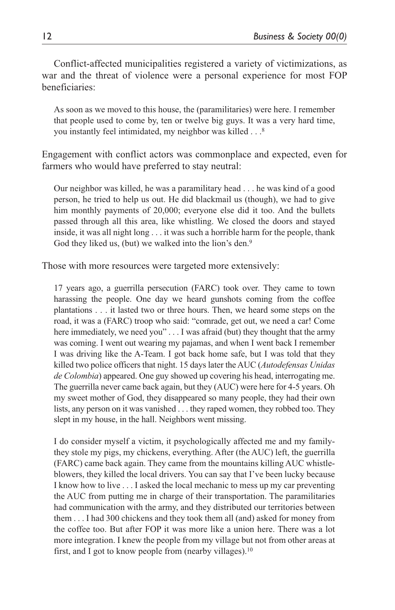Conflict-affected municipalities registered a variety of victimizations, as war and the threat of violence were a personal experience for most FOP beneficiaries:

As soon as we moved to this house, the (paramilitaries) were here. I remember that people used to come by, ten or twelve big guys. It was a very hard time, you instantly feel intimidated, my neighbor was killed . . .8

Engagement with conflict actors was commonplace and expected, even for farmers who would have preferred to stay neutral:

Our neighbor was killed, he was a paramilitary head . . . he was kind of a good person, he tried to help us out. He did blackmail us (though), we had to give him monthly payments of 20,000; everyone else did it too. And the bullets passed through all this area, like whistling. We closed the doors and stayed inside, it was all night long . . . it was such a horrible harm for the people, thank God they liked us, (but) we walked into the lion's den.<sup>9</sup>

Those with more resources were targeted more extensively:

17 years ago, a guerrilla persecution (FARC) took over. They came to town harassing the people. One day we heard gunshots coming from the coffee plantations . . . it lasted two or three hours. Then, we heard some steps on the road, it was a (FARC) troop who said: "comrade, get out, we need a car! Come here immediately, we need you" . . . I was afraid (but) they thought that the army was coming. I went out wearing my pajamas, and when I went back I remember I was driving like the A-Team. I got back home safe, but I was told that they killed two police officers that night. 15 days later the AUC (*Autodefensas Unidas de Colombia*) appeared. One guy showed up covering his head, interrogating me. The guerrilla never came back again, but they (AUC) were here for 4-5 years. Oh my sweet mother of God, they disappeared so many people, they had their own lists, any person on it was vanished . . . they raped women, they robbed too. They slept in my house, in the hall. Neighbors went missing.

I do consider myself a victim, it psychologically affected me and my familythey stole my pigs, my chickens, everything. After (the AUC) left, the guerrilla (FARC) came back again. They came from the mountains killing AUC whistleblowers, they killed the local drivers. You can say that I've been lucky because I know how to live . . . I asked the local mechanic to mess up my car preventing the AUC from putting me in charge of their transportation. The paramilitaries had communication with the army, and they distributed our territories between them . . . I had 300 chickens and they took them all (and) asked for money from the coffee too. But after FOP it was more like a union here. There was a lot more integration. I knew the people from my village but not from other areas at first, and I got to know people from (nearby villages).10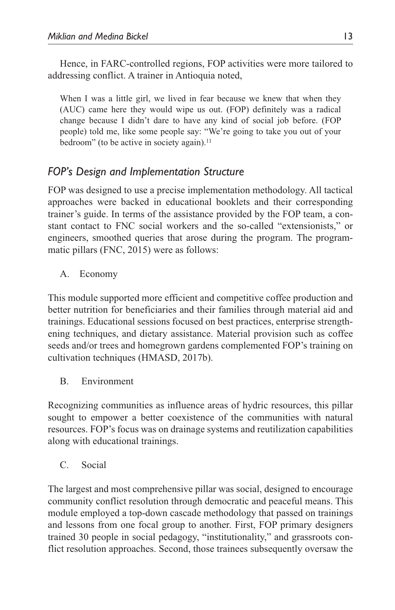Hence, in FARC-controlled regions, FOP activities were more tailored to addressing conflict. A trainer in Antioquia noted,

When I was a little girl, we lived in fear because we knew that when they (AUC) came here they would wipe us out. (FOP) definitely was a radical change because I didn't dare to have any kind of social job before. (FOP people) told me, like some people say: "We're going to take you out of your bedroom" (to be active in society again).<sup>11</sup>

## *FOP's Design and Implementation Structure*

FOP was designed to use a precise implementation methodology. All tactical approaches were backed in educational booklets and their corresponding trainer's guide. In terms of the assistance provided by the FOP team, a constant contact to FNC social workers and the so-called "extensionists," or engineers, smoothed queries that arose during the program. The programmatic pillars (FNC, 2015) were as follows:

A. Economy

This module supported more efficient and competitive coffee production and better nutrition for beneficiaries and their families through material aid and trainings. Educational sessions focused on best practices, enterprise strengthening techniques, and dietary assistance. Material provision such as coffee seeds and/or trees and homegrown gardens complemented FOP's training on cultivation techniques (HMASD, 2017b).

B. Environment

Recognizing communities as influence areas of hydric resources, this pillar sought to empower a better coexistence of the communities with natural resources. FOP's focus was on drainage systems and reutilization capabilities along with educational trainings.

C. Social

The largest and most comprehensive pillar was social, designed to encourage community conflict resolution through democratic and peaceful means. This module employed a top-down cascade methodology that passed on trainings and lessons from one focal group to another. First, FOP primary designers trained 30 people in social pedagogy, "institutionality," and grassroots conflict resolution approaches. Second, those trainees subsequently oversaw the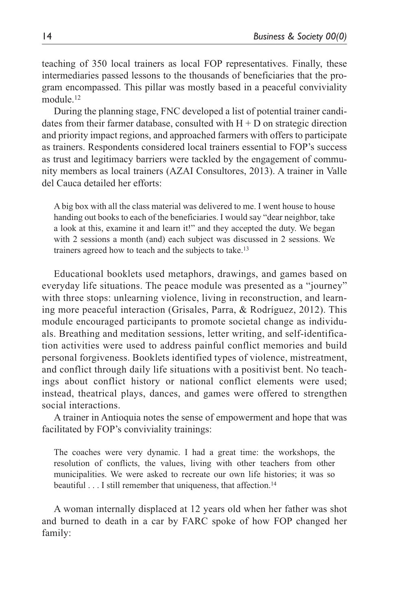teaching of 350 local trainers as local FOP representatives. Finally, these intermediaries passed lessons to the thousands of beneficiaries that the program encompassed. This pillar was mostly based in a peaceful conviviality module.12

During the planning stage, FNC developed a list of potential trainer candidates from their farmer database, consulted with  $H + D$  on strategic direction and priority impact regions, and approached farmers with offers to participate as trainers. Respondents considered local trainers essential to FOP's success as trust and legitimacy barriers were tackled by the engagement of community members as local trainers (AZAI Consultores, 2013). A trainer in Valle del Cauca detailed her efforts:

A big box with all the class material was delivered to me. I went house to house handing out books to each of the beneficiaries. I would say "dear neighbor, take a look at this, examine it and learn it!" and they accepted the duty. We began with 2 sessions a month (and) each subject was discussed in 2 sessions. We trainers agreed how to teach and the subjects to take.<sup>13</sup>

Educational booklets used metaphors, drawings, and games based on everyday life situations. The peace module was presented as a "journey" with three stops: unlearning violence, living in reconstruction, and learning more peaceful interaction (Grisales, Parra, & Rodríguez, 2012). This module encouraged participants to promote societal change as individuals. Breathing and meditation sessions, letter writing, and self-identification activities were used to address painful conflict memories and build personal forgiveness. Booklets identified types of violence, mistreatment, and conflict through daily life situations with a positivist bent. No teachings about conflict history or national conflict elements were used; instead, theatrical plays, dances, and games were offered to strengthen social interactions.

A trainer in Antioquia notes the sense of empowerment and hope that was facilitated by FOP's conviviality trainings:

The coaches were very dynamic. I had a great time: the workshops, the resolution of conflicts, the values, living with other teachers from other municipalities. We were asked to recreate our own life histories; it was so beautiful . . . I still remember that uniqueness, that affection.<sup>14</sup>

A woman internally displaced at 12 years old when her father was shot and burned to death in a car by FARC spoke of how FOP changed her family: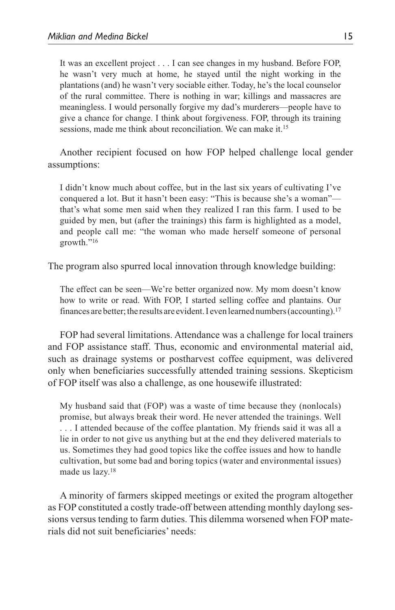It was an excellent project . . . I can see changes in my husband. Before FOP, he wasn't very much at home, he stayed until the night working in the plantations (and) he wasn't very sociable either. Today, he's the local counselor of the rural committee. There is nothing in war; killings and massacres are meaningless. I would personally forgive my dad's murderers—people have to give a chance for change. I think about forgiveness. FOP, through its training sessions, made me think about reconciliation. We can make it.<sup>15</sup>

Another recipient focused on how FOP helped challenge local gender assumptions:

I didn't know much about coffee, but in the last six years of cultivating I've conquered a lot. But it hasn't been easy: "This is because she's a woman" that's what some men said when they realized I ran this farm. I used to be guided by men, but (after the trainings) this farm is highlighted as a model, and people call me: "the woman who made herself someone of personal growth."16

The program also spurred local innovation through knowledge building:

The effect can be seen—We're better organized now. My mom doesn't know how to write or read. With FOP, I started selling coffee and plantains. Our finances are better; the results are evident. I even learned numbers (accounting).17

FOP had several limitations. Attendance was a challenge for local trainers and FOP assistance staff. Thus, economic and environmental material aid, such as drainage systems or postharvest coffee equipment, was delivered only when beneficiaries successfully attended training sessions. Skepticism of FOP itself was also a challenge, as one housewife illustrated:

My husband said that (FOP) was a waste of time because they (nonlocals) promise, but always break their word. He never attended the trainings. Well . . . I attended because of the coffee plantation. My friends said it was all a lie in order to not give us anything but at the end they delivered materials to us. Sometimes they had good topics like the coffee issues and how to handle cultivation, but some bad and boring topics (water and environmental issues) made us lazy.18

A minority of farmers skipped meetings or exited the program altogether as FOP constituted a costly trade-off between attending monthly daylong sessions versus tending to farm duties. This dilemma worsened when FOP materials did not suit beneficiaries' needs: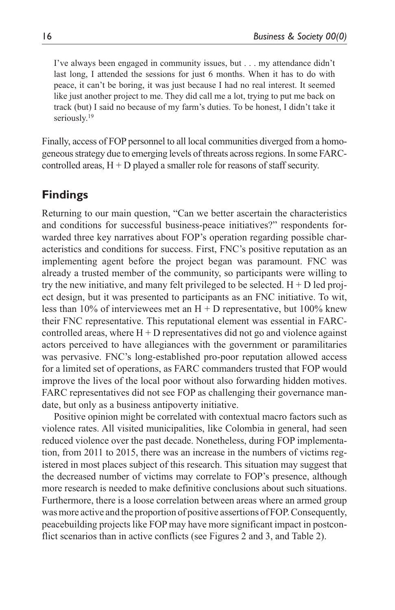I've always been engaged in community issues, but . . . my attendance didn't last long, I attended the sessions for just 6 months. When it has to do with peace, it can't be boring, it was just because I had no real interest. It seemed like just another project to me. They did call me a lot, trying to put me back on track (but) I said no because of my farm's duties. To be honest, I didn't take it seriously.<sup>19</sup>

Finally, access of FOP personnel to all local communities diverged from a homogeneous strategy due to emerging levels of threats across regions. In some FARCcontrolled areas,  $H + D$  played a smaller role for reasons of staff security.

## **Findings**

Returning to our main question, "Can we better ascertain the characteristics and conditions for successful business-peace initiatives?" respondents forwarded three key narratives about FOP's operation regarding possible characteristics and conditions for success. First, FNC's positive reputation as an implementing agent before the project began was paramount. FNC was already a trusted member of the community, so participants were willing to try the new initiative, and many felt privileged to be selected.  $H + D$  led project design, but it was presented to participants as an FNC initiative. To wit, less than 10% of interviewees met an  $H + D$  representative, but 100% knew their FNC representative. This reputational element was essential in FARCcontrolled areas, where  $H + D$  representatives did not go and violence against actors perceived to have allegiances with the government or paramilitaries was pervasive. FNC's long-established pro-poor reputation allowed access for a limited set of operations, as FARC commanders trusted that FOP would improve the lives of the local poor without also forwarding hidden motives. FARC representatives did not see FOP as challenging their governance mandate, but only as a business antipoverty initiative.

Positive opinion might be correlated with contextual macro factors such as violence rates. All visited municipalities, like Colombia in general, had seen reduced violence over the past decade. Nonetheless, during FOP implementation, from 2011 to 2015, there was an increase in the numbers of victims registered in most places subject of this research. This situation may suggest that the decreased number of victims may correlate to FOP's presence, although more research is needed to make definitive conclusions about such situations. Furthermore, there is a loose correlation between areas where an armed group was more active and the proportion of positive assertions of FOP. Consequently, peacebuilding projects like FOP may have more significant impact in postconflict scenarios than in active conflicts (see Figures 2 and 3, and Table 2).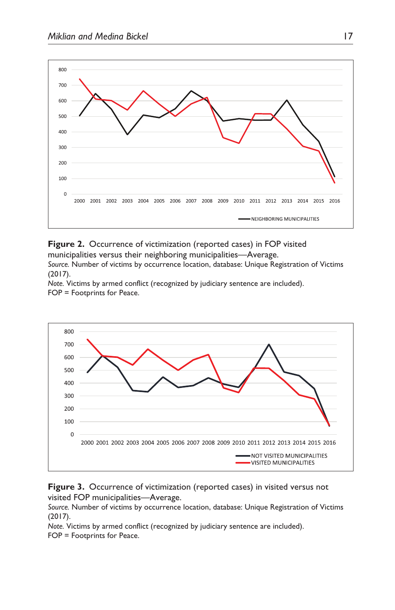

**Figure 2.** Occurrence of victimization (reported cases) in FOP visited municipalities versus their neighboring municipalities—Average. *Source.* Number of victims by occurrence location, database: Unique Registration of Victims (2017).

*Note.* Victims by armed conflict (recognized by judiciary sentence are included). FOP = Footprints for Peace.



#### **Figure 3.** Occurrence of victimization (reported cases) in visited versus not visited FOP municipalities—Average.

*Source.* Number of victims by occurrence location, database: Unique Registration of Victims (2017).

*Note.* Victims by armed conflict (recognized by judiciary sentence are included). FOP = Footprints for Peace.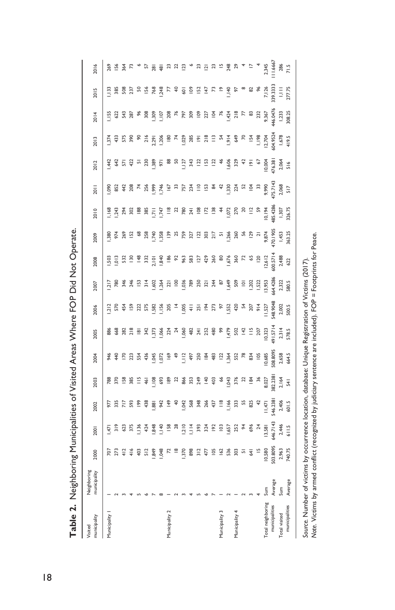| municipality<br>Visited                                                                                                                                                                                           | Neighboring<br>municipality | 2000          | 2001            | 2002            | 2003                      | 2004           | 2005            | 2006           | 2007            | 2008              | 2009                    | 2010           | 2011                                                                       | 2012                          | 2013              | 2014                                                    | 2015           | 2016                                                            |
|-------------------------------------------------------------------------------------------------------------------------------------------------------------------------------------------------------------------|-----------------------------|---------------|-----------------|-----------------|---------------------------|----------------|-----------------|----------------|-----------------|-------------------|-------------------------|----------------|----------------------------------------------------------------------------|-------------------------------|-------------------|---------------------------------------------------------|----------------|-----------------------------------------------------------------|
| Municipality                                                                                                                                                                                                      |                             | 20            | $\frac{47}{4}$  | 57              | 788                       | 946            | $\frac{86}{2}$  | .212           | $\frac{2}{7}$   | 503               | 98.                     | 1,168          | 090                                                                        | ,442                          | 374               | I.I55                                                   | 1.133          | 269                                                             |
|                                                                                                                                                                                                                   |                             | 273           | 319             | 335             | 370                       | 440            | \$8             | 570            | 780             | $\frac{1}{2}$     | 974                     | .243           | 852                                                                        | 642                           | $\ddot{4}$        | 622                                                     | 385            |                                                                 |
|                                                                                                                                                                                                                   |                             | 412           |                 | 717             | $\frac{68}{2}$            |                |                 | 454            | 346             | 532               | 269                     | 294            | 412                                                                        |                               | 575               | 543                                                     | 508            | <b>154</b><br>754<br>73                                         |
|                                                                                                                                                                                                                   |                             | 416           | 623<br>375      | 593             | 385                       | $170$<br>223   | 282<br>218      | S9             | 246             | $\frac{8}{2}$     | 152                     | 302            | 208                                                                        | $\frac{57}{42}$               | 390               | 287                                                     | 237            |                                                                 |
|                                                                                                                                                                                                                   |                             | 403           | 1,136           | $\frac{6}{2}$   | $\stackrel{\text{12}}{=}$ | 554            | 흐               | 222            | $\overline{53}$ | ≌                 | 3                       | 88             | $\overline{7}$                                                             | 5                             | င္လ               | 96                                                      | SO             |                                                                 |
|                                                                                                                                                                                                                   |                             | 512           | 424             | 438             | 461                       | 436            | 342             | 575            | $\frac{4}{3}$   | 332               | 258                     | 385            | 256                                                                        | 230                           | 216               | $\frac{8}{300}$                                         | 156            |                                                                 |
|                                                                                                                                                                                                                   |                             | 849           | 1,848           | $\overline{88}$ | .108                      | 045            | 373             | ,582           | ,602            | 2,101             | 1,740                   | $\overline{z}$ | ,999                                                                       | ,389                          | 2,291             | 309                                                     | 768            | <b>base</b> sas                                                 |
|                                                                                                                                                                                                                   |                             | 1,048         | 1.140           | 942             | 693                       | 1,072          | ,066            | 1,156          | .264            | 1,840             | 1,358                   | 1,747          | 1,746                                                                      | 571                           | 1,206             | $\overline{101}$                                        | .248           |                                                                 |
| Municipality 2                                                                                                                                                                                                    |                             | <sup>L</sup>  | 158             | $\frac{49}{5}$  | $\frac{189}{22}$          | 169            | 224             | 205            | $\overline{2}$  | 186               | 139                     | $\frac{8}{1}$  | $167$<br>33                                                                | 8                             | $rac{1}{2}$       | 208                                                     | 77             |                                                                 |
|                                                                                                                                                                                                                   |                             | ≌             | $^{28}$         | ¥               |                           | 49             | $\overline{24}$ | Ξ,             | $\frac{8}{100}$ | ଟ                 | 25                      | g              |                                                                            | S                             |                   | 76                                                      | $\frac{1}{2}$  |                                                                 |
|                                                                                                                                                                                                                   |                             | 1,370         | 1210            | ,042            | 866                       | $\frac{1}{2}$  | ,060            | 005            | 1,036           | 963               | 759                     |                | 757                                                                        | ,127                          | 1,029             | 797                                                     | $\overline{5}$ |                                                                 |
|                                                                                                                                                                                                                   |                             | 898           | $\frac{4}{11}$  | 568             | 353                       | 497            | 482             | $\overline{4}$ | 789             |                   |                         |                | 234                                                                        | 343                           | 285               | 309                                                     | 109            |                                                                 |
|                                                                                                                                                                                                                   |                             | $\frac{2}{3}$ |                 | 348             | 249                       | 250<br>184     | 241<br>252      | 251<br>194     | 250<br>321      | 583<br>127<br>429 | $327$<br>$123$<br>$303$ | 8 7 8 5 2      | $\overline{5}$ $\overline{6}$ $\overline{2}$ $\overline{4}$ $\overline{4}$ | $\overline{5}$ $\overline{2}$ | $\frac{191}{218}$ |                                                         | $152$<br>$147$ | $\begin{array}{c} \circ \\ \circ \\ \circ \\ \circ \end{array}$ |
|                                                                                                                                                                                                                   |                             | 477           | 393<br>324      | 266             | $\overline{40}$           |                |                 |                |                 |                   |                         |                |                                                                            |                               |                   |                                                         |                |                                                                 |
|                                                                                                                                                                                                                   |                             | 105           | 192             | 437             | 403                       | 483            | 480             | 273            | 244             | 260               | 217                     | $\frac{8}{2}$  |                                                                            | $\overline{2}$                | $\tilde{=}$       | $\frac{3}{2}$ $\frac{3}{2}$ $\frac{4}{5}$ $\frac{8}{5}$ | $\mathbf{r}$   |                                                                 |
| Municipality 3                                                                                                                                                                                                    |                             | $162$<br>536  | $\tilde{c}$     | $\frac{8}{1}$   | $\frac{66}{5}$            | $\overline{2}$ | န               | 5              | $\approx$       | 8                 | $\overline{5}$          | $\frac{4}{4}$  |                                                                            | $\frac{4}{6}$                 | 54                |                                                         | $\tilde{ }$    |                                                                 |
|                                                                                                                                                                                                                   |                             |               | 1,657           | 1,166           | 043                       | 1,364          | 1,479           | 1,552          | 1,649           | 1,676             | 1,266                   | .072           | 1,330                                                                      | ,606                          | 1914              | ,424                                                    | 1,140          |                                                                 |
| Municipality 4                                                                                                                                                                                                    |                             |               | 252             | 333             | 376                       | 552            | 502             | 420            | 509             | 360               | 260                     | 270            | $224$<br>$52$                                                              | 329                           | 649               | 218                                                     | 5              | $^{29}$                                                         |
|                                                                                                                                                                                                                   |                             | 303           | $\frac{2}{\pi}$ | 55              |                           | $\approx$      | $\frac{42}{5}$  | 54             | $\bar{\circ}$   | $\overline{z}$    |                         | $\overline{c}$ |                                                                            | $\ddot{ }$                    | κ                 | 77                                                      | œ              |                                                                 |
|                                                                                                                                                                                                                   |                             | 641           | 696             | 825             | $\frac{8}{4}$             | 834            | $\equiv$        | 207            | 1,202           | 59                | $56$<br>$129$<br>$21$   | $\tilde{=}$    | $\bar{5}$                                                                  | 흐                             | 154               | 8                                                       | 82             | $\overline{a}$                                                  |
|                                                                                                                                                                                                                   |                             |               | $\overline{a}$  | 42              | 36                        | <b>105</b>     | 207             | 914            | 1,522           | 120               |                         | 59             | m                                                                          | 57                            | 1,198             | 232                                                     | 96             |                                                                 |
| Total neighboring                                                                                                                                                                                                 | Sum                         | 10,580        | 13,581          | 11,471          | 8,027                     | 0,685          | 10,323          | 11,527         | 13,953          | 12,612            | 9,874                   | 10,194         | 9,990                                                                      | 0,004                         | 12,704            | 9,367                                                   | 7,126          | 2,345                                                           |
| municipalities                                                                                                                                                                                                    | <b>Average</b>              | 603.8095      | 546.7143        | 546.238         | 82.238                    | 508.8095       | 125161          | \$48.9048      | 64.4286         | 571               | 170.1905                | 85.4286        | 475.7143                                                                   | 176.381                       | \$04.9524         | 146.047                                                 | 339.333        | 11.6667                                                         |
| Total visited                                                                                                                                                                                                     | Sum                         | 2,963         | 2,446           | 2,406           | 2,164                     | 2,658          | 2,314           | 2,002          | 2,322           | 2,488             | 1,453                   | 1,307          | 2,068                                                                      | 2,064                         | 1,678             | 1,233                                                   | E              | 286                                                             |
| municipalities                                                                                                                                                                                                    | Average                     | 740.75        |                 | 601.5           | 541                       | 664.5          | 578.5           | 500.5          | 580.5           | 622               | 363.25                  | 326.75         | 517                                                                        | 516                           | 419.5             | 308.25                                                  | 277.75         | 71.5                                                            |
| Note. Victims by armed conflict (recognized by judiciary sentence are included). FOP = Footprints for Peace.<br>Source. Number of victims by occurrence location, database: Unique Registration of Victims (2017) |                             |               |                 |                 |                           |                |                 |                |                 |                   |                         |                |                                                                            |                               |                   |                                                         |                |                                                                 |
|                                                                                                                                                                                                                   |                             |               |                 |                 |                           |                |                 |                |                 |                   |                         |                |                                                                            |                               |                   |                                                         |                |                                                                 |

Table 2. Neighboring Municipalities of Visited Areas Where FOP Did Not Operate. **Table 2.** Neighboring Municipalities of Visited Areas Where FOP Did Not Operate.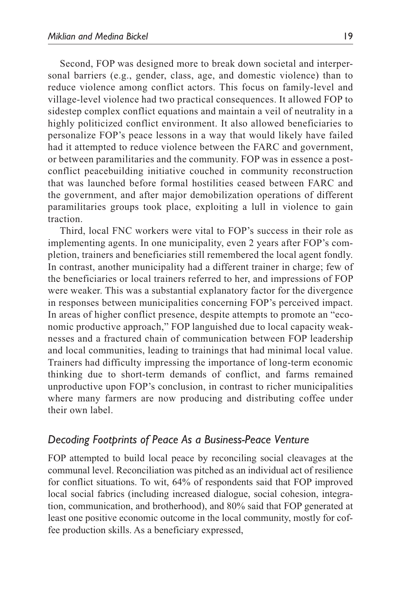Second, FOP was designed more to break down societal and interpersonal barriers (e.g., gender, class, age, and domestic violence) than to reduce violence among conflict actors. This focus on family-level and village-level violence had two practical consequences. It allowed FOP to sidestep complex conflict equations and maintain a veil of neutrality in a highly politicized conflict environment. It also allowed beneficiaries to personalize FOP's peace lessons in a way that would likely have failed had it attempted to reduce violence between the FARC and government, or between paramilitaries and the community. FOP was in essence a postconflict peacebuilding initiative couched in community reconstruction that was launched before formal hostilities ceased between FARC and the government, and after major demobilization operations of different paramilitaries groups took place, exploiting a lull in violence to gain traction.

Third, local FNC workers were vital to FOP's success in their role as implementing agents. In one municipality, even 2 years after FOP's completion, trainers and beneficiaries still remembered the local agent fondly. In contrast, another municipality had a different trainer in charge; few of the beneficiaries or local trainers referred to her, and impressions of FOP were weaker. This was a substantial explanatory factor for the divergence in responses between municipalities concerning FOP's perceived impact. In areas of higher conflict presence, despite attempts to promote an "economic productive approach," FOP languished due to local capacity weaknesses and a fractured chain of communication between FOP leadership and local communities, leading to trainings that had minimal local value. Trainers had difficulty impressing the importance of long-term economic thinking due to short-term demands of conflict, and farms remained unproductive upon FOP's conclusion, in contrast to richer municipalities where many farmers are now producing and distributing coffee under their own label.

#### *Decoding Footprints of Peace As a Business-Peace Venture*

FOP attempted to build local peace by reconciling social cleavages at the communal level. Reconciliation was pitched as an individual act of resilience for conflict situations. To wit, 64% of respondents said that FOP improved local social fabrics (including increased dialogue, social cohesion, integration, communication, and brotherhood), and 80% said that FOP generated at least one positive economic outcome in the local community, mostly for coffee production skills. As a beneficiary expressed,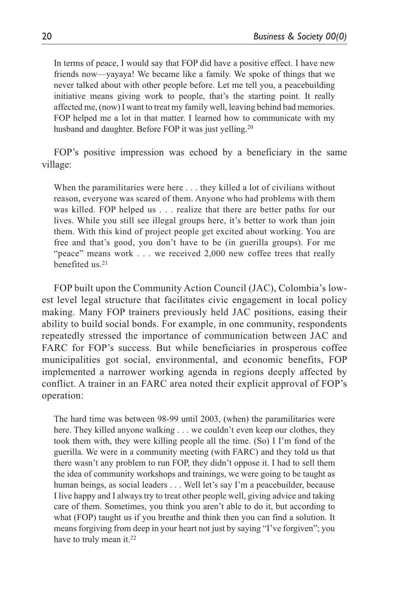In terms of peace, I would say that FOP did have a positive effect. I have new friends now—yayaya! We became like a family. We spoke of things that we never talked about with other people before. Let me tell you, a peacebuilding initiative means giving work to people, that's the starting point. It really affected me, (now) I want to treat my family well, leaving behind bad memories. FOP helped me a lot in that matter. I learned how to communicate with my husband and daughter. Before FOP it was just yelling.<sup>20</sup>

FOP's positive impression was echoed by a beneficiary in the same village:

When the paramilitaries were here . . . they killed a lot of civilians without reason, everyone was scared of them. Anyone who had problems with them was killed. FOP helped us . . . realize that there are better paths for our lives. While you still see illegal groups here, it's better to work than join them. With this kind of project people get excited about working. You are free and that's good, you don't have to be (in guerilla groups). For me "peace" means work . . . we received 2,000 new coffee trees that really benefited us.21

FOP built upon the Community Action Council (JAC), Colombia's lowest level legal structure that facilitates civic engagement in local policy making. Many FOP trainers previously held JAC positions, easing their ability to build social bonds. For example, in one community, respondents repeatedly stressed the importance of communication between JAC and FARC for FOP's success. But while beneficiaries in prosperous coffee municipalities got social, environmental, and economic benefits, FOP implemented a narrower working agenda in regions deeply affected by conflict. A trainer in an FARC area noted their explicit approval of FOP's operation:

The hard time was between 98-99 until 2003, (when) the paramilitaries were here. They killed anyone walking . . . we couldn't even keep our clothes, they took them with, they were killing people all the time. (So) I I'm fond of the guerilla. We were in a community meeting (with FARC) and they told us that there wasn't any problem to run FOP, they didn't oppose it. I had to sell them the idea of community workshops and trainings, we were going to be taught as human beings, as social leaders . . . Well let's say I'm a peacebuilder, because I live happy and I always try to treat other people well, giving advice and taking care of them. Sometimes, you think you aren't able to do it, but according to what (FOP) taught us if you breathe and think then you can find a solution. It means forgiving from deep in your heart not just by saying "I've forgiven"; you have to truly mean it.<sup>22</sup>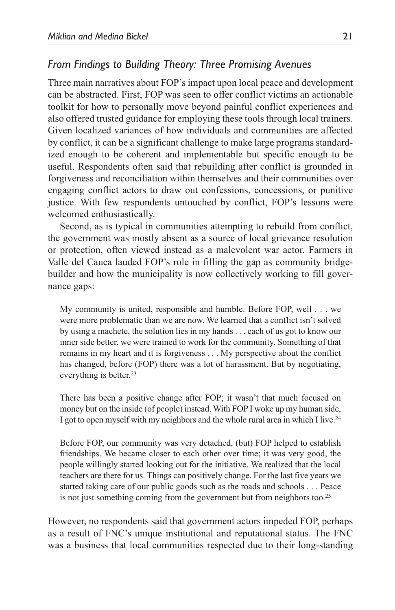### *From Findings to Building Theory: Three Promising Avenues*

Three main narratives about FOP's impact upon local peace and development can be abstracted. First, FOP was seen to offer conflict victims an actionable toolkit for how to personally move beyond painful conflict experiences and also offered trusted guidance for employing these tools through local trainers. Given localized variances of how individuals and communities are affected by conflict, it can be a significant challenge to make large programs standardized enough to be coherent and implementable but specific enough to be useful. Respondents often said that rebuilding after conflict is grounded in forgiveness and reconciliation within themselves and their communities over engaging conflict actors to draw out confessions, concessions, or punitive justice. With few respondents untouched by conflict, FOP's lessons were welcomed enthusiastically.

Second, as is typical in communities attempting to rebuild from conflict, the government was mostly absent as a source of local grievance resolution or protection, often viewed instead as a malevolent war actor. Farmers in Valle del Cauca lauded FOP's role in filling the gap as community bridgebuilder and how the municipality is now collectively working to fill governance gaps:

My community is united, responsible and humble. Before FOP, well . . . we were more problematic than we are now. We learned that a conflict isn't solved by using a machete, the solution lies in my hands . . . each of us got to know our inner side better, we were trained to work for the community. Something of that remains in my heart and it is forgiveness . . . My perspective about the conflict has changed, before (FOP) there was a lot of harassment. But by negotiating, everything is better.<sup>23</sup>

There has been a positive change after FOP; it wasn't that much focused on money but on the inside (of people) instead. With FOP I woke up my human side, I got to open myself with my neighbors and the whole rural area in which I live.<sup>24</sup>

Before FOP, our community was very detached, (but) FOP helped to establish friendships. We became closer to each other over time; it was very good, the people willingly started looking out for the initiative. We realized that the local teachers are there for us. Things can positively change. For the last five years we started taking care of our public goods such as the roads and schools . . . Peace is not just something coming from the government but from neighbors too.<sup>25</sup>

However, no respondents said that government actors impeded FOP, perhaps as a result of FNC's unique institutional and reputational status. The FNC was a business that local communities respected due to their long-standing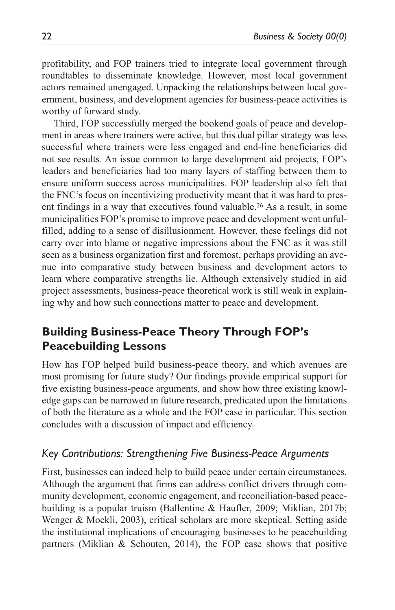profitability, and FOP trainers tried to integrate local government through roundtables to disseminate knowledge. However, most local government actors remained unengaged. Unpacking the relationships between local government, business, and development agencies for business-peace activities is worthy of forward study.

Third, FOP successfully merged the bookend goals of peace and development in areas where trainers were active, but this dual pillar strategy was less successful where trainers were less engaged and end-line beneficiaries did not see results. An issue common to large development aid projects, FOP's leaders and beneficiaries had too many layers of staffing between them to ensure uniform success across municipalities. FOP leadership also felt that the FNC's focus on incentivizing productivity meant that it was hard to present findings in a way that executives found valuable.26 As a result, in some municipalities FOP's promise to improve peace and development went unfulfilled, adding to a sense of disillusionment. However, these feelings did not carry over into blame or negative impressions about the FNC as it was still seen as a business organization first and foremost, perhaps providing an avenue into comparative study between business and development actors to learn where comparative strengths lie. Although extensively studied in aid project assessments, business-peace theoretical work is still weak in explaining why and how such connections matter to peace and development.

## **Building Business-Peace Theory Through FOP's Peacebuilding Lessons**

How has FOP helped build business-peace theory, and which avenues are most promising for future study? Our findings provide empirical support for five existing business-peace arguments, and show how three existing knowledge gaps can be narrowed in future research, predicated upon the limitations of both the literature as a whole and the FOP case in particular. This section concludes with a discussion of impact and efficiency.

#### *Key Contributions: Strengthening Five Business-Peace Arguments*

First, businesses can indeed help to build peace under certain circumstances. Although the argument that firms can address conflict drivers through community development, economic engagement, and reconciliation-based peacebuilding is a popular truism (Ballentine & Haufler, 2009; Miklian, 2017b; Wenger & Mockli, 2003), critical scholars are more skeptical. Setting aside the institutional implications of encouraging businesses to be peacebuilding partners (Miklian & Schouten, 2014), the FOP case shows that positive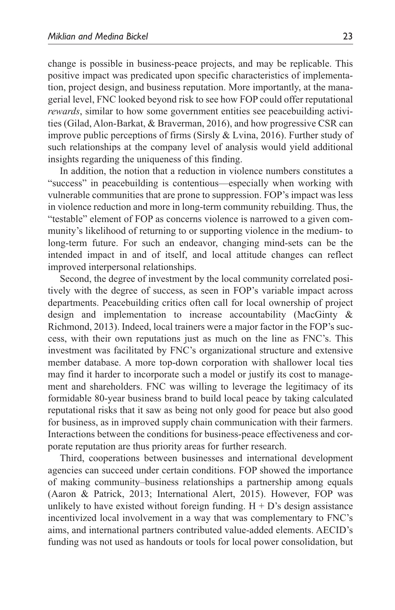change is possible in business-peace projects, and may be replicable. This positive impact was predicated upon specific characteristics of implementation, project design, and business reputation. More importantly, at the managerial level, FNC looked beyond risk to see how FOP could offer reputational *rewards*, similar to how some government entities see peacebuilding activities (Gilad, Alon-Barkat, & Braverman, 2016), and how progressive CSR can improve public perceptions of firms (Sirsly & Lvina, 2016). Further study of such relationships at the company level of analysis would yield additional insights regarding the uniqueness of this finding.

In addition, the notion that a reduction in violence numbers constitutes a "success" in peacebuilding is contentious—especially when working with vulnerable communities that are prone to suppression. FOP's impact was less in violence reduction and more in long-term community rebuilding. Thus, the "testable" element of FOP as concerns violence is narrowed to a given community's likelihood of returning to or supporting violence in the medium- to long-term future. For such an endeavor, changing mind-sets can be the intended impact in and of itself, and local attitude changes can reflect improved interpersonal relationships.

Second, the degree of investment by the local community correlated positively with the degree of success, as seen in FOP's variable impact across departments. Peacebuilding critics often call for local ownership of project design and implementation to increase accountability (MacGinty & Richmond, 2013). Indeed, local trainers were a major factor in the FOP's success, with their own reputations just as much on the line as FNC's. This investment was facilitated by FNC's organizational structure and extensive member database. A more top-down corporation with shallower local ties may find it harder to incorporate such a model or justify its cost to management and shareholders. FNC was willing to leverage the legitimacy of its formidable 80-year business brand to build local peace by taking calculated reputational risks that it saw as being not only good for peace but also good for business, as in improved supply chain communication with their farmers. Interactions between the conditions for business-peace effectiveness and corporate reputation are thus priority areas for further research.

Third, cooperations between businesses and international development agencies can succeed under certain conditions. FOP showed the importance of making community–business relationships a partnership among equals (Aaron & Patrick, 2013; International Alert, 2015). However, FOP was unlikely to have existed without foreign funding.  $H + D$ 's design assistance incentivized local involvement in a way that was complementary to FNC's aims, and international partners contributed value-added elements. AECID's funding was not used as handouts or tools for local power consolidation, but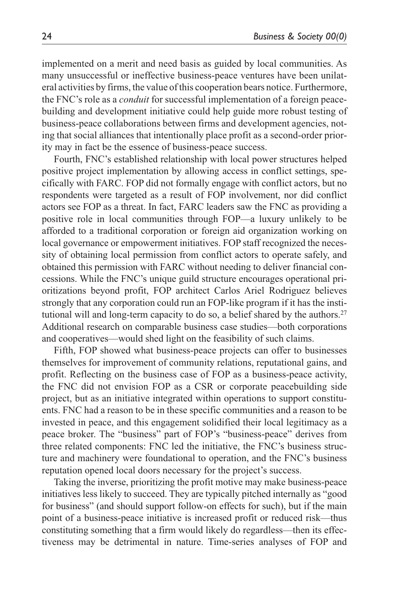implemented on a merit and need basis as guided by local communities. As many unsuccessful or ineffective business-peace ventures have been unilateral activities by firms, the value of this cooperation bears notice. Furthermore, the FNC's role as a *conduit* for successful implementation of a foreign peacebuilding and development initiative could help guide more robust testing of business-peace collaborations between firms and development agencies, noting that social alliances that intentionally place profit as a second-order priority may in fact be the essence of business-peace success.

Fourth, FNC's established relationship with local power structures helped positive project implementation by allowing access in conflict settings, specifically with FARC. FOP did not formally engage with conflict actors, but no respondents were targeted as a result of FOP involvement, nor did conflict actors see FOP as a threat. In fact, FARC leaders saw the FNC as providing a positive role in local communities through FOP—a luxury unlikely to be afforded to a traditional corporation or foreign aid organization working on local governance or empowerment initiatives. FOP staff recognized the necessity of obtaining local permission from conflict actors to operate safely, and obtained this permission with FARC without needing to deliver financial concessions. While the FNC's unique guild structure encourages operational prioritizations beyond profit, FOP architect Carlos Ariel Rodriguez believes strongly that any corporation could run an FOP-like program if it has the institutional will and long-term capacity to do so, a belief shared by the authors.<sup>27</sup> Additional research on comparable business case studies—both corporations and cooperatives—would shed light on the feasibility of such claims.

Fifth, FOP showed what business-peace projects can offer to businesses themselves for improvement of community relations, reputational gains, and profit. Reflecting on the business case of FOP as a business-peace activity, the FNC did not envision FOP as a CSR or corporate peacebuilding side project, but as an initiative integrated within operations to support constituents. FNC had a reason to be in these specific communities and a reason to be invested in peace, and this engagement solidified their local legitimacy as a peace broker. The "business" part of FOP's "business-peace" derives from three related components: FNC led the initiative, the FNC's business structure and machinery were foundational to operation, and the FNC's business reputation opened local doors necessary for the project's success.

Taking the inverse, prioritizing the profit motive may make business-peace initiatives less likely to succeed. They are typically pitched internally as "good for business" (and should support follow-on effects for such), but if the main point of a business-peace initiative is increased profit or reduced risk—thus constituting something that a firm would likely do regardless—then its effectiveness may be detrimental in nature. Time-series analyses of FOP and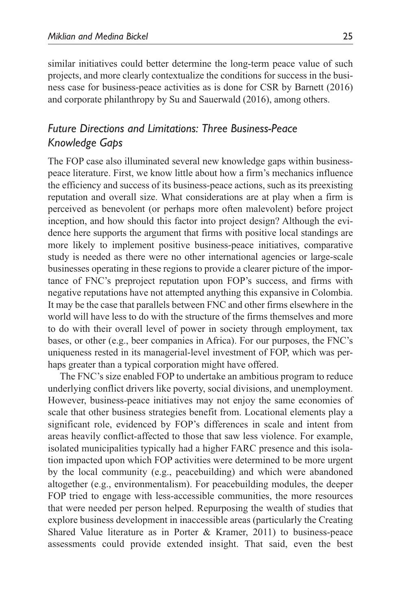similar initiatives could better determine the long-term peace value of such projects, and more clearly contextualize the conditions for success in the business case for business-peace activities as is done for CSR by Barnett (2016) and corporate philanthropy by Su and Sauerwald (2016), among others.

## *Future Directions and Limitations: Three Business-Peace Knowledge Gaps*

The FOP case also illuminated several new knowledge gaps within businesspeace literature. First, we know little about how a firm's mechanics influence the efficiency and success of its business-peace actions, such as its preexisting reputation and overall size. What considerations are at play when a firm is perceived as benevolent (or perhaps more often malevolent) before project inception, and how should this factor into project design? Although the evidence here supports the argument that firms with positive local standings are more likely to implement positive business-peace initiatives, comparative study is needed as there were no other international agencies or large-scale businesses operating in these regions to provide a clearer picture of the importance of FNC's preproject reputation upon FOP's success, and firms with negative reputations have not attempted anything this expansive in Colombia. It may be the case that parallels between FNC and other firms elsewhere in the world will have less to do with the structure of the firms themselves and more to do with their overall level of power in society through employment, tax bases, or other (e.g., beer companies in Africa). For our purposes, the FNC's uniqueness rested in its managerial-level investment of FOP, which was perhaps greater than a typical corporation might have offered.

The FNC's size enabled FOP to undertake an ambitious program to reduce underlying conflict drivers like poverty, social divisions, and unemployment. However, business-peace initiatives may not enjoy the same economies of scale that other business strategies benefit from. Locational elements play a significant role, evidenced by FOP's differences in scale and intent from areas heavily conflict-affected to those that saw less violence. For example, isolated municipalities typically had a higher FARC presence and this isolation impacted upon which FOP activities were determined to be more urgent by the local community (e.g., peacebuilding) and which were abandoned altogether (e.g., environmentalism). For peacebuilding modules, the deeper FOP tried to engage with less-accessible communities, the more resources that were needed per person helped. Repurposing the wealth of studies that explore business development in inaccessible areas (particularly the Creating Shared Value literature as in Porter & Kramer, 2011) to business-peace assessments could provide extended insight. That said, even the best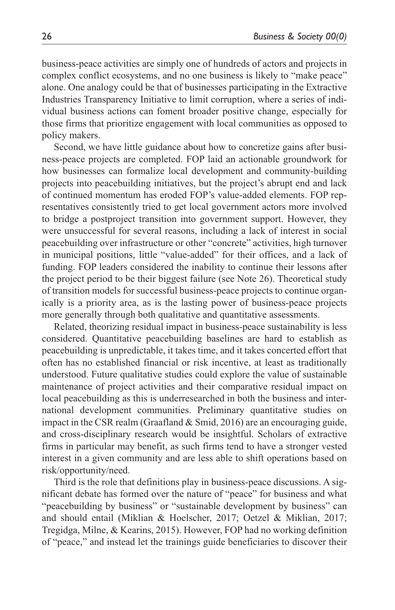business-peace activities are simply one of hundreds of actors and projects in complex conflict ecosystems, and no one business is likely to "make peace" alone. One analogy could be that of businesses participating in the Extractive Industries Transparency Initiative to limit corruption, where a series of individual business actions can foment broader positive change, especially for those firms that prioritize engagement with local communities as opposed to policy makers.

Second, we have little guidance about how to concretize gains after business-peace projects are completed. FOP laid an actionable groundwork for how businesses can formalize local development and community-building projects into peacebuilding initiatives, but the project's abrupt end and lack of continued momentum has eroded FOP's value-added elements. FOP representatives consistently tried to get local government actors more involved to bridge a postproject transition into government support. However, they were unsuccessful for several reasons, including a lack of interest in social peacebuilding over infrastructure or other "concrete" activities, high turnover in municipal positions, little "value-added" for their offices, and a lack of funding. FOP leaders considered the inability to continue their lessons after the project period to be their biggest failure (see Note 26). Theoretical study of transition models for successful business-peace projects to continue organically is a priority area, as is the lasting power of business-peace projects more generally through both qualitative and quantitative assessments.

Related, theorizing residual impact in business-peace sustainability is less considered. Quantitative peacebuilding baselines are hard to establish as peacebuilding is unpredictable, it takes time, and it takes concerted effort that often has no established financial or risk incentive, at least as traditionally understood. Future qualitative studies could explore the value of sustainable maintenance of project activities and their comparative residual impact on local peacebuilding as this is underresearched in both the business and international development communities. Preliminary quantitative studies on impact in the CSR realm (Graafland & Smid, 2016) are an encouraging guide, and cross-disciplinary research would be insightful. Scholars of extractive firms in particular may benefit, as such firms tend to have a stronger vested interest in a given community and are less able to shift operations based on risk/opportunity/need.

Third is the role that definitions play in business-peace discussions. A significant debate has formed over the nature of "peace" for business and what "peacebuilding by business" or "sustainable development by business" can and should entail (Miklian & Hoelscher, 2017; Oetzel & Miklian, 2017; Tregidga, Milne, & Kearins, 2015). However, FOP had no working definition of "peace," and instead let the trainings guide beneficiaries to discover their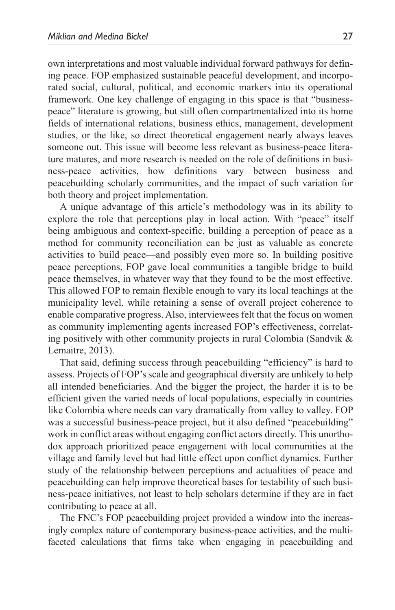own interpretations and most valuable individual forward pathways for defining peace. FOP emphasized sustainable peaceful development, and incorporated social, cultural, political, and economic markers into its operational framework. One key challenge of engaging in this space is that "businesspeace" literature is growing, but still often compartmentalized into its home fields of international relations, business ethics, management, development studies, or the like, so direct theoretical engagement nearly always leaves someone out. This issue will become less relevant as business-peace literature matures, and more research is needed on the role of definitions in business-peace activities, how definitions vary between business and peacebuilding scholarly communities, and the impact of such variation for both theory and project implementation.

A unique advantage of this article's methodology was in its ability to explore the role that perceptions play in local action. With "peace" itself being ambiguous and context-specific, building a perception of peace as a method for community reconciliation can be just as valuable as concrete activities to build peace—and possibly even more so. In building positive peace perceptions, FOP gave local communities a tangible bridge to build peace themselves, in whatever way that they found to be the most effective. This allowed FOP to remain flexible enough to vary its local teachings at the municipality level, while retaining a sense of overall project coherence to enable comparative progress. Also, interviewees felt that the focus on women as community implementing agents increased FOP's effectiveness, correlating positively with other community projects in rural Colombia (Sandvik & Lemaitre, 2013).

That said, defining success through peacebuilding "efficiency" is hard to assess. Projects of FOP's scale and geographical diversity are unlikely to help all intended beneficiaries. And the bigger the project, the harder it is to be efficient given the varied needs of local populations, especially in countries like Colombia where needs can vary dramatically from valley to valley. FOP was a successful business-peace project, but it also defined "peacebuilding" work in conflict areas without engaging conflict actors directly. This unorthodox approach prioritized peace engagement with local communities at the village and family level but had little effect upon conflict dynamics. Further study of the relationship between perceptions and actualities of peace and peacebuilding can help improve theoretical bases for testability of such business-peace initiatives, not least to help scholars determine if they are in fact contributing to peace at all.

The FNC's FOP peacebuilding project provided a window into the increasingly complex nature of contemporary business-peace activities, and the multifaceted calculations that firms take when engaging in peacebuilding and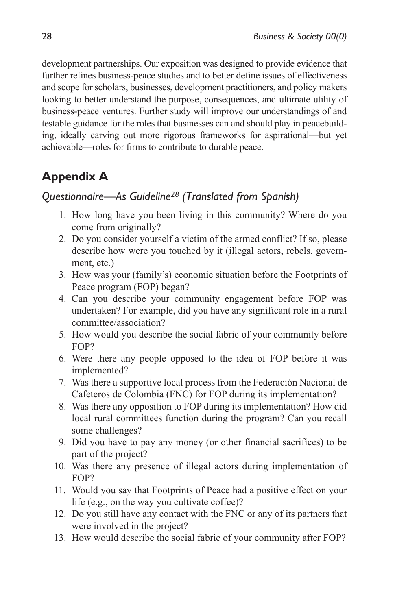development partnerships. Our exposition was designed to provide evidence that further refines business-peace studies and to better define issues of effectiveness and scope for scholars, businesses, development practitioners, and policy makers looking to better understand the purpose, consequences, and ultimate utility of business-peace ventures. Further study will improve our understandings of and testable guidance for the roles that businesses can and should play in peacebuilding, ideally carving out more rigorous frameworks for aspirational—but yet achievable—roles for firms to contribute to durable peace.

# **Appendix A**

### *Questionnaire—As Guideline28 (Translated from Spanish)*

- 1. How long have you been living in this community? Where do you come from originally?
- 2. Do you consider yourself a victim of the armed conflict? If so, please describe how were you touched by it (illegal actors, rebels, government, etc.)
- 3. How was your (family's) economic situation before the Footprints of Peace program (FOP) began?
- 4. Can you describe your community engagement before FOP was undertaken? For example, did you have any significant role in a rural committee/association?
- 5. How would you describe the social fabric of your community before FOP?
- 6. Were there any people opposed to the idea of FOP before it was implemented?
- 7. Was there a supportive local process from the Federación Nacional de Cafeteros de Colombia (FNC) for FOP during its implementation?
- 8. Was there any opposition to FOP during its implementation? How did local rural committees function during the program? Can you recall some challenges?
- 9. Did you have to pay any money (or other financial sacrifices) to be part of the project?
- 10. Was there any presence of illegal actors during implementation of FOP?
- 11. Would you say that Footprints of Peace had a positive effect on your life (e.g., on the way you cultivate coffee)?
- 12. Do you still have any contact with the FNC or any of its partners that were involved in the project?
- 13. How would describe the social fabric of your community after FOP?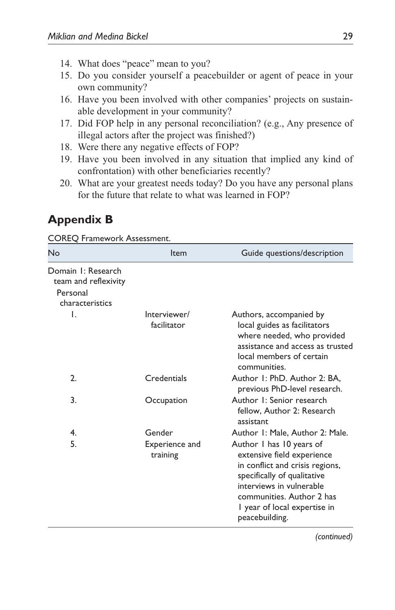- 14. What does "peace" mean to you?
- 15. Do you consider yourself a peacebuilder or agent of peace in your own community?
- 16. Have you been involved with other companies' projects on sustainable development in your community?
- 17. Did FOP help in any personal reconciliation? (e.g., Any presence of illegal actors after the project was finished?)
- 18. Were there any negative effects of FOP?
- 19. Have you been involved in any situation that implied any kind of confrontation) with other beneficiaries recently?
- 20. What are your greatest needs today? Do you have any personal plans for the future that relate to what was learned in FOP?

## **Appendix B**

COREQ Framework Assessment.

| No                                                                        | Item                        | Guide questions/description                                                                                                                                                                                                         |
|---------------------------------------------------------------------------|-----------------------------|-------------------------------------------------------------------------------------------------------------------------------------------------------------------------------------------------------------------------------------|
| Domain I: Research<br>team and reflexivity<br>Personal<br>characteristics |                             |                                                                                                                                                                                                                                     |
| L.                                                                        | Interviewer/<br>facilitator | Authors, accompanied by<br>local guides as facilitators<br>where needed, who provided<br>assistance and access as trusted<br>local members of certain<br>communities.                                                               |
| 2.                                                                        | Credentials                 | Author I: PhD. Author 2: BA,<br>previous PhD-level research.                                                                                                                                                                        |
| 3.                                                                        | Occupation                  | Author 1: Senior research<br>fellow, Author 2: Research<br>assistant                                                                                                                                                                |
| 4.                                                                        | Gender                      | Author 1: Male, Author 2: Male.                                                                                                                                                                                                     |
| 5.                                                                        | Experience and<br>training  | Author I has 10 years of<br>extensive field experience<br>in conflict and crisis regions,<br>specifically of qualitative<br>interviews in vulnerable<br>communities. Author 2 has<br>I year of local expertise in<br>peacebuilding. |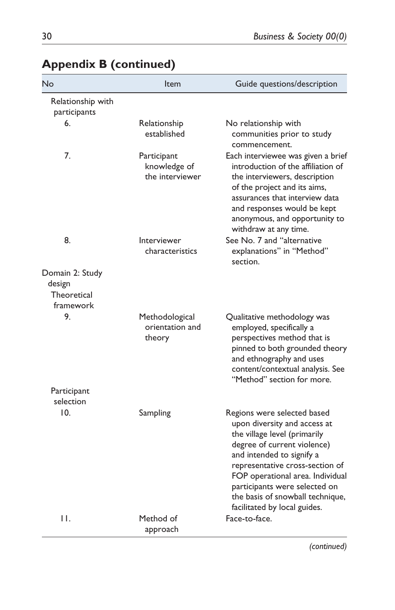| No                                | Item                                           | Guide questions/description                                                                                                                                                                                                                                                                                                         |
|-----------------------------------|------------------------------------------------|-------------------------------------------------------------------------------------------------------------------------------------------------------------------------------------------------------------------------------------------------------------------------------------------------------------------------------------|
| Relationship with<br>participants |                                                |                                                                                                                                                                                                                                                                                                                                     |
| 6.                                | Relationship<br>established                    | No relationship with<br>communities prior to study<br>commencement.                                                                                                                                                                                                                                                                 |
| 7.                                | Participant<br>knowledge of<br>the interviewer | Each interviewee was given a brief<br>introduction of the affiliation of<br>the interviewers, description<br>of the project and its aims,<br>assurances that interview data<br>and responses would be kept<br>anonymous, and opportunity to<br>withdraw at any time.                                                                |
| 8.                                | Interviewer<br>characteristics                 | See No. 7 and "alternative<br>explanations" in "Method"<br>section.                                                                                                                                                                                                                                                                 |
| Domain 2: Study<br>design         |                                                |                                                                                                                                                                                                                                                                                                                                     |
| Theoretical                       |                                                |                                                                                                                                                                                                                                                                                                                                     |
| framework                         |                                                |                                                                                                                                                                                                                                                                                                                                     |
| 9.                                | Methodological<br>orientation and<br>theory    | Qualitative methodology was<br>employed, specifically a<br>perspectives method that is<br>pinned to both grounded theory<br>and ethnography and uses<br>content/contextual analysis. See<br>"Method" section for more.                                                                                                              |
| Participant                       |                                                |                                                                                                                                                                                                                                                                                                                                     |
| selection                         |                                                |                                                                                                                                                                                                                                                                                                                                     |
| 10.                               | Sampling                                       | Regions were selected based<br>upon diversity and access at<br>the village level (primarily<br>degree of current violence)<br>and intended to signify a<br>representative cross-section of<br>FOP operational area. Individual<br>participants were selected on<br>the basis of snowball technique,<br>facilitated by local guides. |
| $\mathsf{H}$ .                    | Method of<br>approach                          | Face-to-face.                                                                                                                                                                                                                                                                                                                       |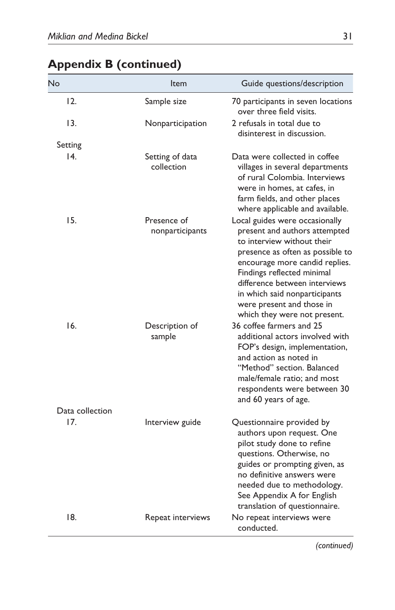| No              | Item                           | Guide questions/description                                                                                                                                                                                                                                                                                                      |
|-----------------|--------------------------------|----------------------------------------------------------------------------------------------------------------------------------------------------------------------------------------------------------------------------------------------------------------------------------------------------------------------------------|
| 12.             | Sample size                    | 70 participants in seven locations<br>over three field visits.                                                                                                                                                                                                                                                                   |
| 13.             | Nonparticipation               | 2 refusals in total due to<br>disinterest in discussion.                                                                                                                                                                                                                                                                         |
| Setting         |                                |                                                                                                                                                                                                                                                                                                                                  |
| $\overline{14}$ | Setting of data<br>collection  | Data were collected in coffee<br>villages in several departments<br>of rural Colombia. Interviews<br>were in homes, at cafes, in<br>farm fields, and other places<br>where applicable and available.                                                                                                                             |
| 15.             | Presence of<br>nonparticipants | Local guides were occasionally<br>present and authors attempted<br>to interview without their<br>presence as often as possible to<br>encourage more candid replies.<br>Findings reflected minimal<br>difference between interviews<br>in which said nonparticipants<br>were present and those in<br>which they were not present. |
| 16.             | Description of<br>sample       | 36 coffee farmers and 25<br>additional actors involved with<br>FOP's design, implementation,<br>and action as noted in<br>"Method" section. Balanced<br>male/female ratio; and most<br>respondents were between 30<br>and 60 years of age.                                                                                       |
| Data collection |                                |                                                                                                                                                                                                                                                                                                                                  |
| 17.             | Interview guide                | Questionnaire provided by<br>authors upon request. One<br>pilot study done to refine<br>questions. Otherwise, no<br>guides or prompting given, as<br>no definitive answers were<br>needed due to methodology.<br>See Appendix A for English<br>translation of questionnaire.                                                     |
| 18.             | Repeat interviews              | No repeat interviews were<br>conducted.                                                                                                                                                                                                                                                                                          |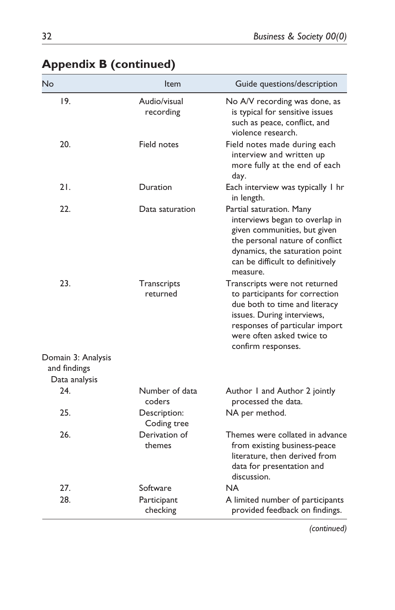| No                                 | Item                        | Guide questions/description                                                                                                                                                                                         |
|------------------------------------|-----------------------------|---------------------------------------------------------------------------------------------------------------------------------------------------------------------------------------------------------------------|
| 19.                                | Audio/visual<br>recording   | No A/V recording was done, as<br>is typical for sensitive issues<br>such as peace, conflict, and<br>violence research.                                                                                              |
| 20.                                | Field notes                 | Field notes made during each<br>interview and written up<br>more fully at the end of each<br>day.                                                                                                                   |
| 21.                                | Duration                    | Each interview was typically 1 hr<br>in length.                                                                                                                                                                     |
| 22.                                | Data saturation             | Partial saturation. Many<br>interviews began to overlap in<br>given communities, but given<br>the personal nature of conflict<br>dynamics, the saturation point<br>can be difficult to definitively<br>measure.     |
| 23.                                | Transcripts<br>returned     | Transcripts were not returned<br>to participants for correction<br>due both to time and literacy<br>issues. During interviews,<br>responses of particular import<br>were often asked twice to<br>confirm responses. |
| Domain 3: Analysis<br>and findings |                             |                                                                                                                                                                                                                     |
| Data analysis<br>24.               | Number of data<br>coders    | Author 1 and Author 2 jointly<br>processed the data.                                                                                                                                                                |
| 25.                                | Description:<br>Coding tree | NA per method.                                                                                                                                                                                                      |
| 26.                                | Derivation of<br>themes     | Themes were collated in advance<br>from existing business-peace<br>literature, then derived from<br>data for presentation and<br>discussion.                                                                        |
| 27.                                | Software                    | <b>NA</b>                                                                                                                                                                                                           |
| 28.                                | Participant<br>checking     | A limited number of participants<br>provided feedback on findings.                                                                                                                                                  |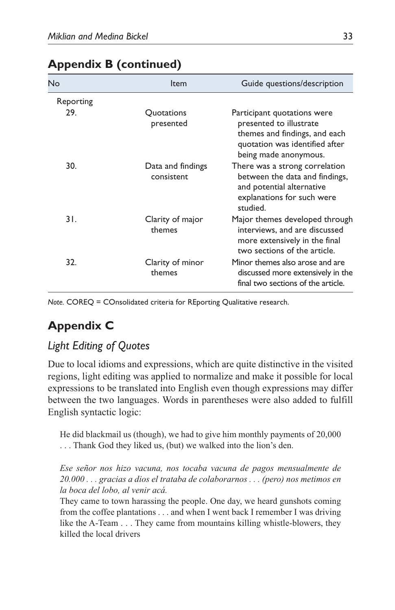| No        | Item                            | Guide questions/description                                                                                                                        |
|-----------|---------------------------------|----------------------------------------------------------------------------------------------------------------------------------------------------|
| Reporting |                                 |                                                                                                                                                    |
| 29.       | Quotations<br>presented         | Participant quotations were<br>presented to illustrate<br>themes and findings, and each<br>quotation was identified after<br>being made anonymous. |
| 30.       | Data and findings<br>consistent | There was a strong correlation<br>between the data and findings,<br>and potential alternative<br>explanations for such were<br>studied.            |
| 31.       | Clarity of major<br>themes      | Major themes developed through<br>interviews, and are discussed<br>more extensively in the final<br>two sections of the article.                   |
| 32.       | Clarity of minor<br>themes      | Minor themes also arose and are<br>discussed more extensively in the<br>final two sections of the article.                                         |

*Note.* COREQ = COnsolidated criteria for REporting Qualitative research.

# **Appendix C**

# *Light Editing of Quotes*

Due to local idioms and expressions, which are quite distinctive in the visited regions, light editing was applied to normalize and make it possible for local expressions to be translated into English even though expressions may differ between the two languages. Words in parentheses were also added to fulfill English syntactic logic:

He did blackmail us (though), we had to give him monthly payments of 20,000 . . . Thank God they liked us, (but) we walked into the lion's den.

*Ese señor nos hizo vacuna, nos tocaba vacuna de pagos mensualmente de 20.000 . . . gracias a dios el trataba de colaborarnos . . . (pero) nos metimos en la boca del lobo, al venir acá.*

They came to town harassing the people. One day, we heard gunshots coming from the coffee plantations . . . and when I went back I remember I was driving like the A-Team . . . They came from mountains killing whistle-blowers, they killed the local drivers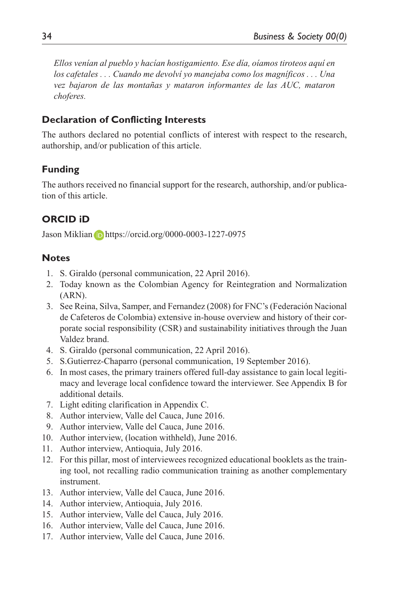*Ellos venían al pueblo y hacían hostigamiento. Ese día, oíamos tiroteos aquí en los cafetales . . . Cuando me devolví yo manejaba como los magníficos . . . Una vez bajaron de las montañas y mataron informantes de las AUC, mataron choferes.*

#### **Declaration of Conflicting Interests**

The authors declared no potential conflicts of interest with respect to the research, authorship, and/or publication of this article.

### **Funding**

The authors received no financial support for the research, authorship, and/or publication of this article.

## **ORCID iD**

Jason Miklian **b** <https://orcid.org/0000-0003-1227-0975>

#### **Notes**

- 1. S. Giraldo (personal communication, 22 April 2016).
- 2. Today known as the Colombian Agency for Reintegration and Normalization (ARN).
- 3. See Reina, Silva, Samper, and Fernandez (2008) for FNC's (Federación Nacional de Cafeteros de Colombia) extensive in-house overview and history of their corporate social responsibility (CSR) and sustainability initiatives through the Juan Valdez brand.
- 4. S. Giraldo (personal communication, 22 April 2016).
- 5. S.Gutierrez-Chaparro (personal communication, 19 September 2016).
- 6. In most cases, the primary trainers offered full-day assistance to gain local legitimacy and leverage local confidence toward the interviewer. See Appendix B for additional details.
- 7. Light editing clarification in Appendix C.
- 8. Author interview, Valle del Cauca, June 2016.
- 9. Author interview, Valle del Cauca, June 2016.
- 10. Author interview, (location withheld), June 2016.
- 11. Author interview, Antioquia, July 2016.
- 12. For this pillar, most of interviewees recognized educational booklets as the training tool, not recalling radio communication training as another complementary instrument.
- 13. Author interview, Valle del Cauca, June 2016.
- 14. Author interview, Antioquia, July 2016.
- 15. Author interview, Valle del Cauca, July 2016.
- 16. Author interview, Valle del Cauca, June 2016.
- 17. Author interview, Valle del Cauca, June 2016.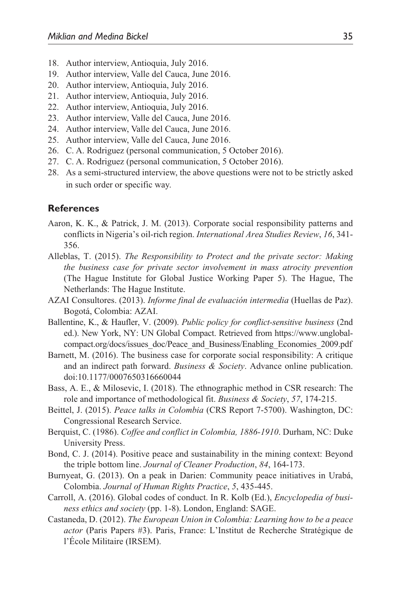- 18. Author interview, Antioquia, July 2016.
- 19. Author interview, Valle del Cauca, June 2016.
- 20. Author interview, Antioquia, July 2016.
- 21. Author interview, Antioquia, July 2016.
- 22. Author interview, Antioquia, July 2016.
- 23. Author interview, Valle del Cauca, June 2016.
- 24. Author interview, Valle del Cauca, June 2016.
- 25. Author interview, Valle del Cauca, June 2016.
- 26. C. A. Rodriguez (personal communication, 5 October 2016).
- 27. C. A. Rodriguez (personal communication, 5 October 2016).
- 28. As a semi-structured interview, the above questions were not to be strictly asked in such order or specific way.

#### **References**

- Aaron, K. K., & Patrick, J. M. (2013). Corporate social responsibility patterns and conflicts in Nigeria's oil-rich region. *International Area Studies Review*, *16*, 341- 356.
- Alleblas, T. (2015). *The Responsibility to Protect and the private sector: Making the business case for private sector involvement in mass atrocity prevention* (The Hague Institute for Global Justice Working Paper 5). The Hague, The Netherlands: The Hague Institute.
- AZAI Consultores. (2013). *Informe final de evaluación intermedia* (Huellas de Paz). Bogotá, Colombia: AZAI.
- Ballentine, K., & Haufler, V. (2009). *Public policy for conflict-sensitive business* (2nd ed.). New York, NY: UN Global Compact. Retrieved from [https://www.unglobal](https://www.unglobalcompact.org/docs/issues_doc/Peace_and_Business/Enabling_Economies_2009.pdf)[compact.org/docs/issues\\_doc/Peace\\_and\\_Business/Enabling\\_Economies\\_2009.pdf](https://www.unglobalcompact.org/docs/issues_doc/Peace_and_Business/Enabling_Economies_2009.pdf)
- Barnett, M. (2016). The business case for corporate social responsibility: A critique and an indirect path forward. *Business & Society*. Advance online publication. doi:10.1177/0007650316660044
- Bass, A. E., & Milosevic, I. (2018). The ethnographic method in CSR research: The role and importance of methodological fit. *Business & Society*, *57*, 174-215.
- Beittel, J. (2015). *Peace talks in Colombia* (CRS Report 7-5700). Washington, DC: Congressional Research Service.
- Berquist, C. (1986). *Coffee and conflict in Colombia, 1886-1910*. Durham, NC: Duke University Press.
- Bond, C. J. (2014). Positive peace and sustainability in the mining context: Beyond the triple bottom line. *Journal of Cleaner Production*, *84*, 164-173.
- Burnyeat, G. (2013). On a peak in Darien: Community peace initiatives in Urabá, Colombia. *Journal of Human Rights Practice*, *5*, 435-445.
- Carroll, A. (2016). Global codes of conduct. In R. Kolb (Ed.), *Encyclopedia of business ethics and society* (pp. 1-8). London, England: SAGE.
- Castaneda, D. (2012). *The European Union in Colombia: Learning how to be a peace actor* (Paris Papers #3). Paris, France: L'Institut de Recherche Stratégique de l'École Militaire (IRSEM).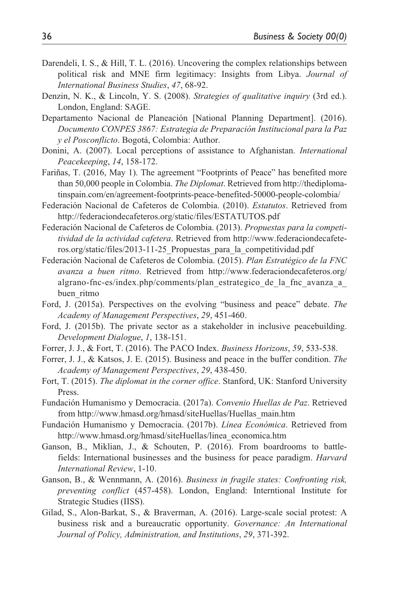- Darendeli, I. S., & Hill, T. L. (2016). Uncovering the complex relationships between political risk and MNE firm legitimacy: Insights from Libya. *Journal of International Business Studies*, *47*, 68-92.
- Denzin, N. K., & Lincoln, Y. S. (2008). *Strategies of qualitative inquiry* (3rd ed.). London, England: SAGE.
- Departamento Nacional de Planeación [National Planning Department]. (2016). *Documento CONPES 3867: Estrategia de Preparación Institucional para la Paz y el Posconflicto*. Bogotá, Colombia: Author.
- Donini, A. (2007). Local perceptions of assistance to Afghanistan. *International Peacekeeping*, *14*, 158-172.
- Fariñas, T. (2016, May 1). The agreement "Footprints of Peace" has benefited more than 50,000 people in Colombia. *The Diplomat*. Retrieved from [http://thediploma](http://thediplomatinspain.com/en/agreement-footprints-peace-benefited-50000-people-colombia/)[tinspain.com/en/agreement-footprints-peace-benefited-50000-people-colombia/](http://thediplomatinspain.com/en/agreement-footprints-peace-benefited-50000-people-colombia/)
- Federación Nacional de Cafeteros de Colombia. (2010). *Estatutos*. Retrieved from <http://federaciondecafeteros.org/static/files/ESTATUTOS.pdf>
- Federación Nacional de Cafeteros de Colombia. (2013). *Propuestas para la competitividad de la actividad cafetera*. Retrieved from [http://www.federaciondecafete](http://www.federaciondecafeteros.org/static/files/2013-11-25_Propuestas_para_la_competitividad.pdf)[ros.org/static/files/2013-11-25\\_Propuestas\\_para\\_la\\_competitividad.pdf](http://www.federaciondecafeteros.org/static/files/2013-11-25_Propuestas_para_la_competitividad.pdf)
- Federación Nacional de Cafeteros de Colombia. (2015). *Plan Estratégico de la FNC avanza a buen ritmo*. Retrieved from [http://www.federaciondecafeteros.org/](http://www.federaciondecafeteros.org/algrano-fnc-es/index.php/comments/plan_estrategico_de_la_fnc_avanza_a_buen_ritmo) [algrano-fnc-es/index.php/comments/plan\\_estrategico\\_de\\_la\\_fnc\\_avanza\\_a\\_](http://www.federaciondecafeteros.org/algrano-fnc-es/index.php/comments/plan_estrategico_de_la_fnc_avanza_a_buen_ritmo) [buen\\_ritmo](http://www.federaciondecafeteros.org/algrano-fnc-es/index.php/comments/plan_estrategico_de_la_fnc_avanza_a_buen_ritmo)
- Ford, J. (2015a). Perspectives on the evolving "business and peace" debate. *The Academy of Management Perspectives*, *29*, 451-460.
- Ford, J. (2015b). The private sector as a stakeholder in inclusive peacebuilding. *Development Dialogue*, *1*, 138-151.
- Forrer, J. J., & Fort, T. (2016). The PACO Index. *Business Horizons*, *59*, 533-538.
- Forrer, J. J., & Katsos, J. E. (2015). Business and peace in the buffer condition. *The Academy of Management Perspectives*, *29*, 438-450.
- Fort, T. (2015). *The diplomat in the corner office*. Stanford, UK: Stanford University Press.
- Fundación Humanismo y Democracia. (2017a). *Convenio Huellas de Paz*. Retrieved from [http://www.hmasd.org/hmasd/siteHuellas/Huellas\\_main.htm](http://www.hmasd.org/hmasd/siteHuellas/Huellas_main.htm)
- Fundación Humanismo y Democracia. (2017b). *Línea Económica*. Retrieved from [http://www.hmasd.org/hmasd/siteHuellas/linea\\_economica.htm](http://www.hmasd.org/hmasd/siteHuellas/linea_economica.htm)
- Ganson, B., Miklian, J., & Schouten, P. (2016). From boardrooms to battlefields: International businesses and the business for peace paradigm. *Harvard International Review*, 1-10.
- Ganson, B., & Wennmann, A. (2016). *Business in fragile states: Confronting risk, preventing conflict* (457-458). London, England: Interntional Institute for Strategic Studies (IISS).
- Gilad, S., Alon-Barkat, S., & Braverman, A. (2016). Large-scale social protest: A business risk and a bureaucratic opportunity. *Governance: An International Journal of Policy, Administration, and Institutions*, *29*, 371-392.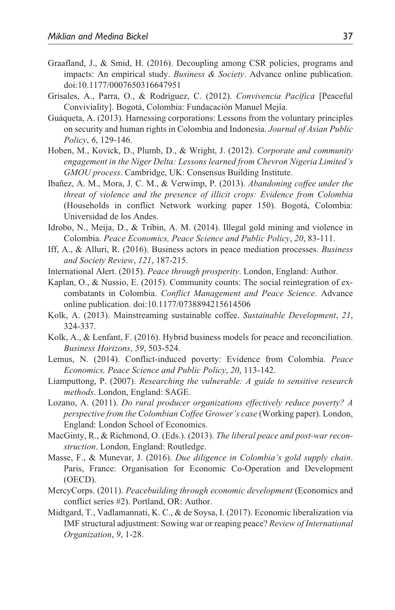- Graafland, J., & Smid, H. (2016). Decoupling among CSR policies, programs and impacts: An empirical study. *Business & Society*. Advance online publication. doi:10.1177/0007650316647951
- Grisales, A., Parra, O., & Rodríguez, C. (2012). *Convivencia Pacífica* [Peaceful Conviviality]. Bogotá, Colombia: Fundacación Manuel Mejía.
- Guáqueta, A. (2013). Harnessing corporations: Lessons from the voluntary principles on security and human rights in Colombia and Indonesia. *Journal of Asian Public Policy*, *6*, 129-146.
- Hoben, M., Kovick, D., Plumb, D., & Wright, J. (2012). *Corporate and community engagement in the Niger Delta: Lessons learned from Chevron Nigeria Limited's GMOU process*. Cambridge, UK: Consensus Building Institute.
- Ibañez, A. M., Mora, J. C. M., & Verwimp, P. (2013). *Abandoning coffee under the threat of violence and the presence of illicit crops: Evidence from Colombia* (Households in conflict Network working paper 150). Bogotá, Colombia: Universidad de los Andes.
- Idrobo, N., Meija, D., & Tribin, A. M. (2014). Illegal gold mining and violence in Colombia. *Peace Economics, Peace Science and Public Policy*, *20*, 83-111.
- Iff, A., & Alluri, R. (2016). Business actors in peace mediation processes. *Business and Society Review*, *121*, 187-215.
- International Alert. (2015). *Peace through prosperity*. London, England: Author.
- Kaplan, O., & Nussio, E. (2015). Community counts: The social reintegration of excombatants in Colombia. *Conflict Management and Peace Science*. Advance online publication. doi:10.1177/0738894215614506
- Kolk, A. (2013). Mainstreaming sustainable coffee. *Sustainable Development*, *21*, 324-337.
- Kolk, A., & Lenfant, F. (2016). Hybrid business models for peace and reconciliation. *Business Horizons*, *59*, 503-524.
- Lemus, N. (2014). Conflict-induced poverty: Evidence from Colombia. *Peace Economics, Peace Science and Public Policy*, *20*, 113-142.
- Liamputtong, P. (2007). *Researching the vulnerable: A guide to sensitive research methods*. London, England: SAGE.
- Lozano, A. (2011). *Do rural producer organizations effectively reduce poverty? A perspective from the Colombian Coffee Grower's case* (Working paper). London, England: London School of Economics.
- MacGinty, R., & Richmond, O. (Eds.). (2013). *The liberal peace and post-war reconstruction*. London, England: Routledge.
- Masse, F., & Munevar, J. (2016). *Due diligence in Colombia's gold supply chain*. Paris, France: Organisation for Economic Co-Operation and Development (OECD).
- MercyCorps. (2011). *Peacebuilding through economic development* (Economics and conflict series #2). Portland, OR: Author.
- Midtgard, T., Vadlamannati, K. C., & de Soysa, I. (2017). Economic liberalization via IMF structural adjustment: Sowing war or reaping peace? *Review of International Organization*, *9*, 1-28.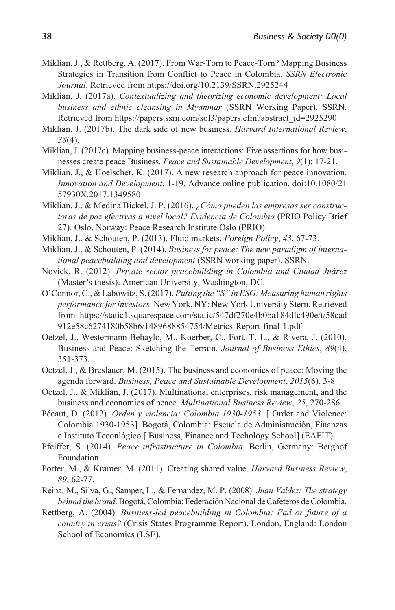- Miklian, J., & Rettberg, A. (2017). From War-Torn to Peace-Torn? Mapping Business Strategies in Transition from Conflict to Peace in Colombia. *SSRN Electronic Journal*. Retrieved from<https://doi.org/10.2139/SSRN.2925244>
- Miklian, J. (2017a). *Contextualizing and theorizing economic development: Local business and ethnic cleansing in Myanmar* (SSRN Working Paper). SSRN. Retrieved from [https://papers.ssrn.com/sol3/papers.cfm?abstract\\_id=2925290](https://papers.ssrn.com/sol3/papers.cfm?abstract_id=2925290)
- Miklian, J. (2017b). The dark side of new business. *Harvard International Review*, *38*(4).
- Miklian, J. (2017c). Mapping business-peace interactions: Five assertions for how businesses create peace Business. *Peace and Sustainable Development*, *9*(1): 17-21.
- Miklian, J., & Hoelscher, K. (2017). A new research approach for peace innovation. *Innovation and Development*, 1-19. Advance online publication. doi:10.1080/21 57930X.2017.1349580
- Miklian, J., & Medina Bickel, J. P. (2016). *¿Cómo pueden las empresas ser constructoras de paz efectivas a nivel local? Evidencia de Colombia* (PRIO Policy Brief 27). Oslo, Norway: Peace Research Institute Oslo (PRIO).
- Miklian, J., & Schouten, P. (2013). Fluid markets. *Foreign Policy*, *43*, 67-73.
- Miklian, J., & Schouten, P. (2014). *Business for peace: The new paradigm of international peacebuilding and development* (SSRN working paper). SSRN.
- Novick, R. (2012). *Private sector peacebuilding in Colombia and Ciudad Juárez* (Master's thesis). American University, Washington, DC.
- O'Connor, C., & Labowitz, S. (2017). *Putting the "S" in ESG: Measuring human rights performance for investors*. New York, NY: New York University Stern. Retrieved from [https://static1.squarespace.com/static/547df270e4b0ba184dfc490e/t/58cad](https://static1.squarespace.com/static/547df270e4b0ba184dfc490e/t/58cad912e58c6274180b58b6/1489688854754/Metrics-Report-final-1.pdf) [912e58c6274180b58b6/1489688854754/Metrics-Report-final-1.pdf](https://static1.squarespace.com/static/547df270e4b0ba184dfc490e/t/58cad912e58c6274180b58b6/1489688854754/Metrics-Report-final-1.pdf)
- Oetzel, J., Westermann-Behaylo, M., Koerber, C., Fort, T. L., & Rivera, J. (2010). Business and Peace: Sketching the Terrain. *Journal of Business Ethics*, *89*(4), 351-373.
- Oetzel, J., & Breslauer, M. (2015). The business and economics of peace: Moving the agenda forward. *Business, Peace and Sustainable Development*, *2015*(6), 3-8.
- Oetzel, J., & Miklian, J. (2017). Multinational enterprises, risk management, and the business and economics of peace. *Multinational Business Review*, *25*, 270-286.
- Pécaut, D. (2012). *Orden y violencia: Colombia 1930-1953*. [ Order and Violence: Colombia 1930-1953]. Bogotá, Colombia: Escuela de Administración, Finanzas e Instituto Teconlógico [ Business, Finance and Techology School] (EAFIT).
- Pfeiffer, S. (2014). *Peace infrastructure in Colombia*. Berlin, Germany: Berghof Foundation.
- Porter, M., & Kramer, M. (2011). Creating shared value. *Harvard Business Review*, *89*, 62-77.
- Reina, M., Silva, G., Samper, L., & Fernandez, M. P. (2008). *Juan Valdez: The strategy behind the brand*. Bogotá, Colombia: Federación Nacional de Cafeteros de Colombia.
- Rettberg, A. (2004). *Business-led peacebuilding in Colombia: Fad or future of a country in crisis?* (Crisis States Programme Report). London, England: London School of Economics (LSE).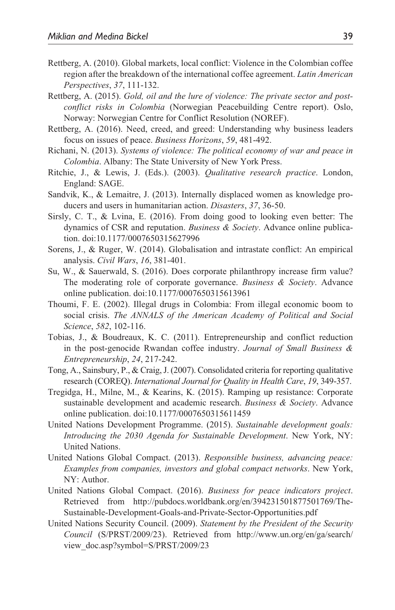- Rettberg, A. (2010). Global markets, local conflict: Violence in the Colombian coffee region after the breakdown of the international coffee agreement. *Latin American Perspectives*, *37*, 111-132.
- Rettberg, A. (2015). *Gold, oil and the lure of violence: The private sector and postconflict risks in Colombia* (Norwegian Peacebuilding Centre report). Oslo, Norway: Norwegian Centre for Conflict Resolution (NOREF).
- Rettberg, A. (2016). Need, creed, and greed: Understanding why business leaders focus on issues of peace. *Business Horizons*, *59*, 481-492.
- Richani, N. (2013). *Systems of violence: The political economy of war and peace in Colombia*. Albany: The State University of New York Press.
- Ritchie, J., & Lewis, J. (Eds.). (2003). *Qualitative research practice*. London, England: SAGE.
- Sandvik, K., & Lemaitre, J. (2013). Internally displaced women as knowledge producers and users in humanitarian action. *Disasters*, *37*, 36-50.
- Sirsly, C. T., & Lvina, E. (2016). From doing good to looking even better: The dynamics of CSR and reputation. *Business & Society*. Advance online publication. doi:10.1177/0007650315627996
- Sorens, J., & Ruger, W. (2014). Globalisation and intrastate conflict: An empirical analysis. *Civil Wars*, *16*, 381-401.
- Su, W., & Sauerwald, S. (2016). Does corporate philanthropy increase firm value? The moderating role of corporate governance. *Business & Society*. Advance online publication. doi:10.1177/0007650315613961
- Thoumi, F. E. (2002). Illegal drugs in Colombia: From illegal economic boom to social crisis. *The ANNALS of the American Academy of Political and Social Science*, *582*, 102-116.
- Tobias, J., & Boudreaux, K. C. (2011). Entrepreneurship and conflict reduction in the post-genocide Rwandan coffee industry. *Journal of Small Business & Entrepreneurship*, *24*, 217-242.
- Tong, A., Sainsbury, P., & Craig, J. (2007). Consolidated criteria for reporting qualitative research (COREQ). *International Journal for Quality in Health Care*, *19*, 349-357.
- Tregidga, H., Milne, M., & Kearins, K. (2015). Ramping up resistance: Corporate sustainable development and academic research. *Business & Society*. Advance online publication. doi:10.1177/0007650315611459
- United Nations Development Programme. (2015). *Sustainable development goals: Introducing the 2030 Agenda for Sustainable Development*. New York, NY: United Nations.
- United Nations Global Compact. (2013). *Responsible business, advancing peace: Examples from companies, investors and global compact networks*. New York, NY: Author.
- United Nations Global Compact. (2016). *Business for peace indicators project*. Retrieved from [http://pubdocs.worldbank.org/en/394231501877501769/The-](http://pubdocs.worldbank.org/en/394231501877501769/The-Sustainable-Development-Goals-and-Private-Sector-Opportunities.pdf)[Sustainable-Development-Goals-and-Private-Sector-Opportunities.pdf](http://pubdocs.worldbank.org/en/394231501877501769/The-Sustainable-Development-Goals-and-Private-Sector-Opportunities.pdf)
- United Nations Security Council. (2009). *Statement by the President of the Security Council* (S/PRST/2009/23). Retrieved from [http://www.un.org/en/ga/search/](http://www.un.org/en/ga/search/view_doc.asp?symbol=S/PRST/2009/23) [view\\_doc.asp?symbol=S/PRST/2009/23](http://www.un.org/en/ga/search/view_doc.asp?symbol=S/PRST/2009/23)